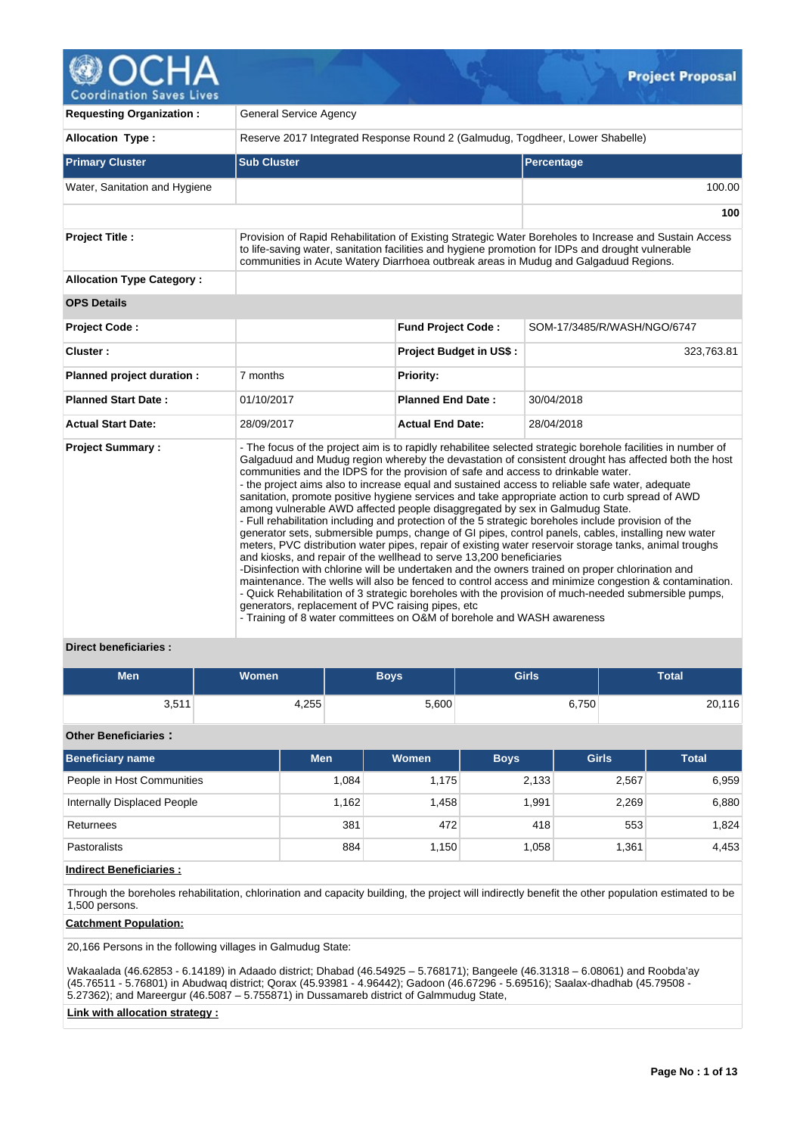

**Coordination Saves Lives** 

| <b>Requesting Organization:</b>  | <b>General Service Agency</b>                                                                                                                                                                                                                                                                                                                                             |                                                                               |                                                                                                                                                                                                                                                                                                                                                                                                                                                                                                                                                                                                                                                                                                                                                                                                                                                                                                                                                                                                                                                                         |  |  |  |  |  |  |
|----------------------------------|---------------------------------------------------------------------------------------------------------------------------------------------------------------------------------------------------------------------------------------------------------------------------------------------------------------------------------------------------------------------------|-------------------------------------------------------------------------------|-------------------------------------------------------------------------------------------------------------------------------------------------------------------------------------------------------------------------------------------------------------------------------------------------------------------------------------------------------------------------------------------------------------------------------------------------------------------------------------------------------------------------------------------------------------------------------------------------------------------------------------------------------------------------------------------------------------------------------------------------------------------------------------------------------------------------------------------------------------------------------------------------------------------------------------------------------------------------------------------------------------------------------------------------------------------------|--|--|--|--|--|--|
| <b>Allocation Type:</b>          |                                                                                                                                                                                                                                                                                                                                                                           | Reserve 2017 Integrated Response Round 2 (Galmudug, Togdheer, Lower Shabelle) |                                                                                                                                                                                                                                                                                                                                                                                                                                                                                                                                                                                                                                                                                                                                                                                                                                                                                                                                                                                                                                                                         |  |  |  |  |  |  |
| <b>Primary Cluster</b>           | <b>Sub Cluster</b>                                                                                                                                                                                                                                                                                                                                                        |                                                                               | Percentage                                                                                                                                                                                                                                                                                                                                                                                                                                                                                                                                                                                                                                                                                                                                                                                                                                                                                                                                                                                                                                                              |  |  |  |  |  |  |
| Water, Sanitation and Hygiene    |                                                                                                                                                                                                                                                                                                                                                                           |                                                                               | 100.00                                                                                                                                                                                                                                                                                                                                                                                                                                                                                                                                                                                                                                                                                                                                                                                                                                                                                                                                                                                                                                                                  |  |  |  |  |  |  |
|                                  |                                                                                                                                                                                                                                                                                                                                                                           |                                                                               | 100                                                                                                                                                                                                                                                                                                                                                                                                                                                                                                                                                                                                                                                                                                                                                                                                                                                                                                                                                                                                                                                                     |  |  |  |  |  |  |
| <b>Project Title:</b>            | Provision of Rapid Rehabilitation of Existing Strategic Water Boreholes to Increase and Sustain Access<br>to life-saving water, sanitation facilities and hygiene promotion for IDPs and drought vulnerable<br>communities in Acute Watery Diarrhoea outbreak areas in Muduq and Galgaduud Regions.                                                                       |                                                                               |                                                                                                                                                                                                                                                                                                                                                                                                                                                                                                                                                                                                                                                                                                                                                                                                                                                                                                                                                                                                                                                                         |  |  |  |  |  |  |
| <b>Allocation Type Category:</b> |                                                                                                                                                                                                                                                                                                                                                                           |                                                                               |                                                                                                                                                                                                                                                                                                                                                                                                                                                                                                                                                                                                                                                                                                                                                                                                                                                                                                                                                                                                                                                                         |  |  |  |  |  |  |
| <b>OPS Details</b>               |                                                                                                                                                                                                                                                                                                                                                                           |                                                                               |                                                                                                                                                                                                                                                                                                                                                                                                                                                                                                                                                                                                                                                                                                                                                                                                                                                                                                                                                                                                                                                                         |  |  |  |  |  |  |
| <b>Project Code:</b>             |                                                                                                                                                                                                                                                                                                                                                                           | <b>Fund Project Code:</b>                                                     | SOM-17/3485/R/WASH/NGO/6747                                                                                                                                                                                                                                                                                                                                                                                                                                                                                                                                                                                                                                                                                                                                                                                                                                                                                                                                                                                                                                             |  |  |  |  |  |  |
| Cluster:                         |                                                                                                                                                                                                                                                                                                                                                                           | <b>Project Budget in US\$:</b>                                                | 323,763.81                                                                                                                                                                                                                                                                                                                                                                                                                                                                                                                                                                                                                                                                                                                                                                                                                                                                                                                                                                                                                                                              |  |  |  |  |  |  |
| Planned project duration :       | 7 months                                                                                                                                                                                                                                                                                                                                                                  | <b>Priority:</b>                                                              |                                                                                                                                                                                                                                                                                                                                                                                                                                                                                                                                                                                                                                                                                                                                                                                                                                                                                                                                                                                                                                                                         |  |  |  |  |  |  |
| <b>Planned Start Date:</b>       | 01/10/2017                                                                                                                                                                                                                                                                                                                                                                | <b>Planned End Date:</b>                                                      | 30/04/2018                                                                                                                                                                                                                                                                                                                                                                                                                                                                                                                                                                                                                                                                                                                                                                                                                                                                                                                                                                                                                                                              |  |  |  |  |  |  |
| <b>Actual Start Date:</b>        | 28/09/2017                                                                                                                                                                                                                                                                                                                                                                | <b>Actual End Date:</b>                                                       | 28/04/2018                                                                                                                                                                                                                                                                                                                                                                                                                                                                                                                                                                                                                                                                                                                                                                                                                                                                                                                                                                                                                                                              |  |  |  |  |  |  |
| <b>Project Summary:</b>          | communities and the IDPS for the provision of safe and access to drinkable water.<br>among vulnerable AWD affected people disaggregated by sex in Galmudug State.<br>and kiosks, and repair of the wellhead to serve 13,200 beneficiaries<br>generators, replacement of PVC raising pipes, etc.<br>- Training of 8 water committees on O&M of borehole and WASH awareness |                                                                               | - The focus of the project aim is to rapidly rehabilitee selected strategic borehole facilities in number of<br>Galgaduud and Mudug region whereby the devastation of consistent drought has affected both the host<br>- the project aims also to increase equal and sustained access to reliable safe water, adequate<br>sanitation, promote positive hygiene services and take appropriate action to curb spread of AWD<br>- Full rehabilitation including and protection of the 5 strategic boreholes include provision of the<br>generator sets, submersible pumps, change of GI pipes, control panels, cables, installing new water<br>meters, PVC distribution water pipes, repair of existing water reservoir storage tanks, animal troughs<br>-Disinfection with chlorine will be undertaken and the owners trained on proper chlorination and<br>maintenance. The wells will also be fenced to control access and minimize congestion & contamination.<br>- Quick Rehabilitation of 3 strategic boreholes with the provision of much-needed submersible pumps, |  |  |  |  |  |  |

### **Direct beneficiaries :**

| <b>Men</b> | Women <sup>1</sup> | <b>Boys</b> | <b>Girls</b> | <b>Total</b> |
|------------|--------------------|-------------|--------------|--------------|
| 3,511      | 4,255              | 5,600       | 6,750        | 20,116       |

# **Other Beneficiaries :**

| Beneficiary name            | <b>Men</b> | Women | <b>Boys</b> | <b>Girls</b> | <b>Total</b> |
|-----------------------------|------------|-------|-------------|--------------|--------------|
| People in Host Communities  | 1.084      | 1,175 | 2,133       | 2,567        | 6,959        |
| Internally Displaced People | 1.162      | 1,458 | 1.991       | 2,269        | 6,880        |
| Returnees                   | 381        | 472   | 418         | 553          | 1,824        |
| Pastoralists                | 884        | 1.150 | 1.058       | 1,361        | 4,453        |

### **Indirect Beneficiaries :**

Through the boreholes rehabilitation, chlorination and capacity building, the project will indirectly benefit the other population estimated to be 1,500 persons.

### **Catchment Population:**

20,166 Persons in the following villages in Galmudug State:

Wakaalada (46.62853 - 6.14189) in Adaado district; Dhabad (46.54925 – 5.768171); Bangeele (46.31318 – 6.08061) and Roobda'ay (45.76511 - 5.76801) in Abudwaq district; Qorax (45.93981 - 4.96442); Gadoon (46.67296 - 5.69516); Saalax-dhadhab (45.79508 - 5.27362); and Mareergur (46.5087 – 5.755871) in Dussamareb district of Galmmudug State,

#### **Link with allocation strategy :**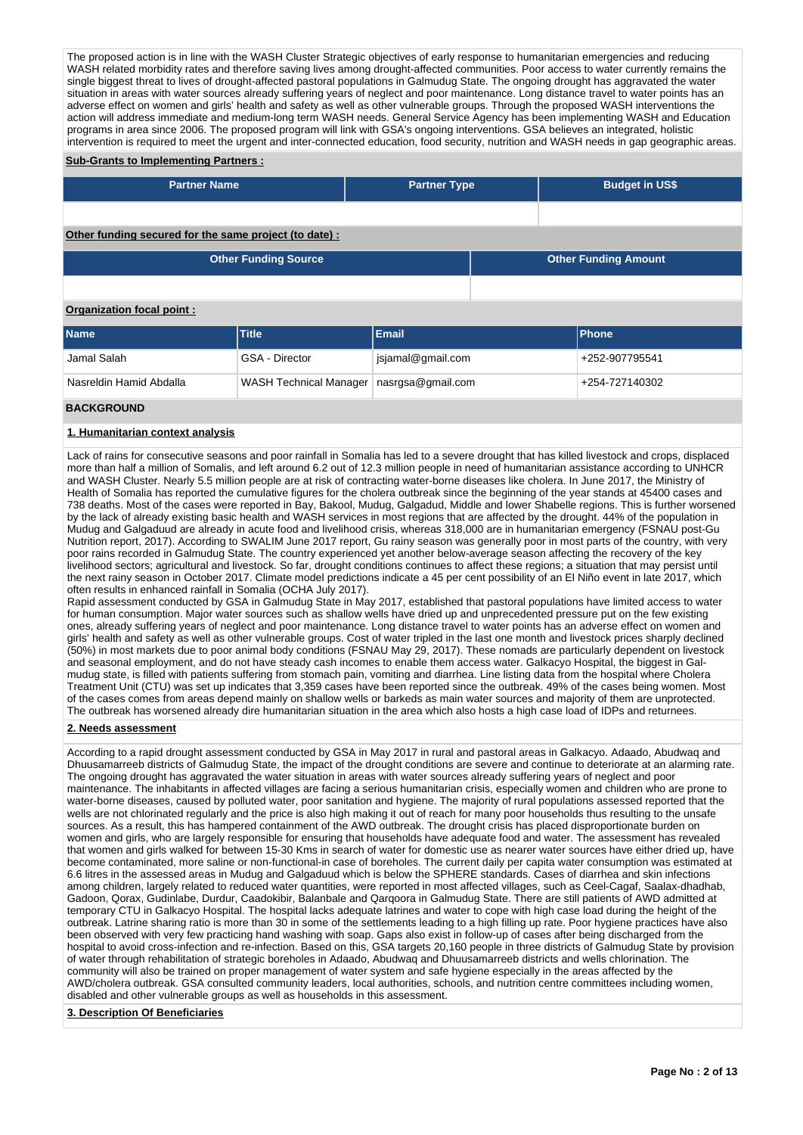The proposed action is in line with the WASH Cluster Strategic objectives of early response to humanitarian emergencies and reducing WASH related morbidity rates and therefore saving lives among drought-affected communities. Poor access to water currently remains the single biggest threat to lives of drought-affected pastoral populations in Galmudug State. The ongoing drought has aggravated the water situation in areas with water sources already suffering years of neglect and poor maintenance. Long distance travel to water points has an adverse effect on women and girls' health and safety as well as other vulnerable groups. Through the proposed WASH interventions the action will address immediate and medium-long term WASH needs. General Service Agency has been implementing WASH and Education programs in area since 2006. The proposed program will link with GSA's ongoing interventions. GSA believes an integrated, holistic intervention is required to meet the urgent and inter-connected education, food security, nutrition and WASH needs in gap geographic areas.

#### **Sub-Grants to Implementing Partners :**

| <b>Partner Name</b>                                   | <b>Partner Type</b> | <b>Budget in US\$</b> |
|-------------------------------------------------------|---------------------|-----------------------|
|                                                       |                     |                       |
| Other funding secured for the same project (to date): |                     |                       |

**Other Funding Source Other Funding Amount**

# **Organization focal point :**

| <b>Name</b>             | Title                                      | Email             | <b>IPhone</b>  |
|-------------------------|--------------------------------------------|-------------------|----------------|
| Jamal Salah             | GSA - Director                             | jsjamal@gmail.com | +252-907795541 |
| Nasreldin Hamid Abdalla | WASH Technical Manager   nasrgsa@gmail.com |                   | +254-727140302 |

### **BACKGROUND**

#### **1. Humanitarian context analysis**

Lack of rains for consecutive seasons and poor rainfall in Somalia has led to a severe drought that has killed livestock and crops, displaced more than half a million of Somalis, and left around 6.2 out of 12.3 million people in need of humanitarian assistance according to UNHCR and WASH Cluster. Nearly 5.5 million people are at risk of contracting water-borne diseases like cholera. In June 2017, the Ministry of Health of Somalia has reported the cumulative figures for the cholera outbreak since the beginning of the year stands at 45400 cases and 738 deaths. Most of the cases were reported in Bay, Bakool, Mudug, Galgadud, Middle and lower Shabelle regions. This is further worsened by the lack of already existing basic health and WASH services in most regions that are affected by the drought. 44% of the population in Mudug and Galgaduud are already in acute food and livelihood crisis, whereas 318,000 are in humanitarian emergency (FSNAU post-Gu Nutrition report, 2017). According to SWALIM June 2017 report, Gu rainy season was generally poor in most parts of the country, with very poor rains recorded in Galmudug State. The country experienced yet another below-average season affecting the recovery of the key livelihood sectors; agricultural and livestock. So far, drought conditions continues to affect these regions; a situation that may persist until the next rainy season in October 2017. Climate model predictions indicate a 45 per cent possibility of an El Niño event in late 2017, which often results in enhanced rainfall in Somalia (OCHA July 2017).

Rapid assessment conducted by GSA in Galmudug State in May 2017, established that pastoral populations have limited access to water for human consumption. Major water sources such as shallow wells have dried up and unprecedented pressure put on the few existing ones, already suffering years of neglect and poor maintenance. Long distance travel to water points has an adverse effect on women and girls' health and safety as well as other vulnerable groups. Cost of water tripled in the last one month and livestock prices sharply declined (50%) in most markets due to poor animal body conditions (FSNAU May 29, 2017). These nomads are particularly dependent on livestock and seasonal employment, and do not have steady cash incomes to enable them access water. Galkacyo Hospital, the biggest in Galmudug state, is filled with patients suffering from stomach pain, vomiting and diarrhea. Line listing data from the hospital where Cholera Treatment Unit (CTU) was set up indicates that 3,359 cases have been reported since the outbreak. 49% of the cases being women. Most of the cases comes from areas depend mainly on shallow wells or barkeds as main water sources and majority of them are unprotected. The outbreak has worsened already dire humanitarian situation in the area which also hosts a high case load of IDPs and returnees.

#### **2. Needs assessment**

According to a rapid drought assessment conducted by GSA in May 2017 in rural and pastoral areas in Galkacyo. Adaado, Abudwaq and Dhuusamarreeb districts of Galmudug State, the impact of the drought conditions are severe and continue to deteriorate at an alarming rate. The ongoing drought has aggravated the water situation in areas with water sources already suffering years of neglect and poor maintenance. The inhabitants in affected villages are facing a serious humanitarian crisis, especially women and children who are prone to water-borne diseases, caused by polluted water, poor sanitation and hygiene. The majority of rural populations assessed reported that the wells are not chlorinated regularly and the price is also high making it out of reach for many poor households thus resulting to the unsafe sources. As a result, this has hampered containment of the AWD outbreak. The drought crisis has placed disproportionate burden on women and girls, who are largely responsible for ensuring that households have adequate food and water. The assessment has revealed that women and girls walked for between 15-30 Kms in search of water for domestic use as nearer water sources have either dried up, have become contaminated, more saline or non-functional-in case of boreholes. The current daily per capita water consumption was estimated at 6.6 litres in the assessed areas in Mudug and Galgaduud which is below the SPHERE standards. Cases of diarrhea and skin infections among children, largely related to reduced water quantities, were reported in most affected villages, such as Ceel-Cagaf, Saalax-dhadhab, Gadoon, Qorax, Gudinlabe, Durdur, Caadokibir, Balanbale and Qarqoora in Galmudug State. There are still patients of AWD admitted at temporary CTU in Galkacyo Hospital. The hospital lacks adequate latrines and water to cope with high case load during the height of the outbreak. Latrine sharing ratio is more than 30 in some of the settlements leading to a high filling up rate. Poor hygiene practices have also been observed with very few practicing hand washing with soap. Gaps also exist in follow-up of cases after being discharged from the hospital to avoid cross-infection and re-infection. Based on this, GSA targets 20,160 people in three districts of Galmudug State by provision of water through rehabilitation of strategic boreholes in Adaado, Abudwaq and Dhuusamarreeb districts and wells chlorination. The community will also be trained on proper management of water system and safe hygiene especially in the areas affected by the AWD/cholera outbreak. GSA consulted community leaders, local authorities, schools, and nutrition centre committees including women, disabled and other vulnerable groups as well as households in this assessment.

#### **3. Description Of Beneficiaries**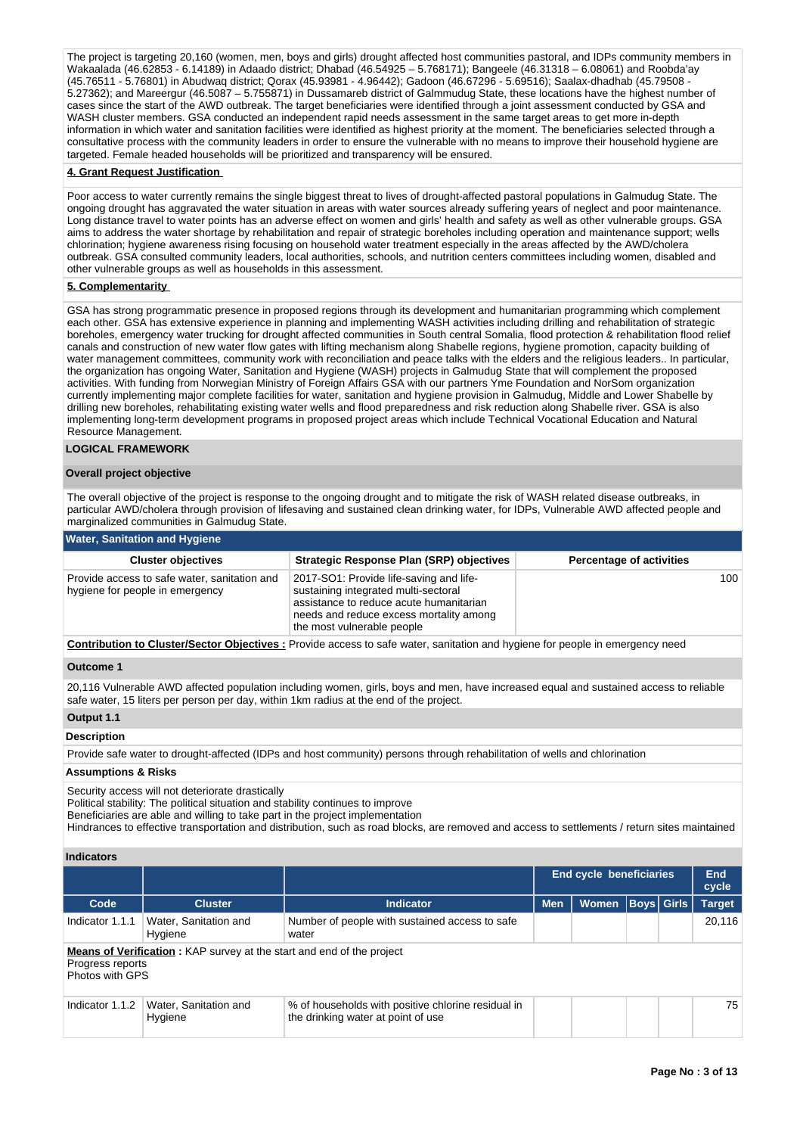The project is targeting 20,160 (women, men, boys and girls) drought affected host communities pastoral, and IDPs community members in Wakaalada (46.62853 - 6.14189) in Adaado district; Dhabad (46.54925 – 5.768171); Bangeele (46.31318 – 6.08061) and Roobda'ay (45.76511 - 5.76801) in Abudwaq district; Qorax (45.93981 - 4.96442); Gadoon (46.67296 - 5.69516); Saalax-dhadhab (45.79508 - 5.27362); and Mareergur (46.5087 – 5.755871) in Dussamareb district of Galmmudug State, these locations have the highest number of cases since the start of the AWD outbreak. The target beneficiaries were identified through a joint assessment conducted by GSA and WASH cluster members. GSA conducted an independent rapid needs assessment in the same target areas to get more in-depth information in which water and sanitation facilities were identified as highest priority at the moment. The beneficiaries selected through a consultative process with the community leaders in order to ensure the vulnerable with no means to improve their household hygiene are targeted. Female headed households will be prioritized and transparency will be ensured.

#### **4. Grant Request Justification**

Poor access to water currently remains the single biggest threat to lives of drought-affected pastoral populations in Galmudug State. The ongoing drought has aggravated the water situation in areas with water sources already suffering years of neglect and poor maintenance. Long distance travel to water points has an adverse effect on women and girls' health and safety as well as other vulnerable groups. GSA aims to address the water shortage by rehabilitation and repair of strategic boreholes including operation and maintenance support; wells chlorination; hygiene awareness rising focusing on household water treatment especially in the areas affected by the AWD/cholera outbreak. GSA consulted community leaders, local authorities, schools, and nutrition centers committees including women, disabled and other vulnerable groups as well as households in this assessment.

#### **5. Complementarity**

GSA has strong programmatic presence in proposed regions through its development and humanitarian programming which complement each other. GSA has extensive experience in planning and implementing WASH activities including drilling and rehabilitation of strategic boreholes, emergency water trucking for drought affected communities in South central Somalia, flood protection & rehabilitation flood relief canals and construction of new water flow gates with lifting mechanism along Shabelle regions, hygiene promotion, capacity building of water management committees, community work with reconciliation and peace talks with the elders and the religious leaders.. In particular, the organization has ongoing Water, Sanitation and Hygiene (WASH) projects in Galmudug State that will complement the proposed activities. With funding from Norwegian Ministry of Foreign Affairs GSA with our partners Yme Foundation and NorSom organization currently implementing major complete facilities for water, sanitation and hygiene provision in Galmudug, Middle and Lower Shabelle by drilling new boreholes, rehabilitating existing water wells and flood preparedness and risk reduction along Shabelle river. GSA is also implementing long-term development programs in proposed project areas which include Technical Vocational Education and Natural Resource Management.

#### **LOGICAL FRAMEWORK**

#### **Overall project objective**

The overall objective of the project is response to the ongoing drought and to mitigate the risk of WASH related disease outbreaks, in particular AWD/cholera through provision of lifesaving and sustained clean drinking water, for IDPs, Vulnerable AWD affected people and marginalized communities in Galmudug State.

#### **Water, Sanitation and Hygiene**

| <b>Cluster objectives</b>                                                       | <b>Strategic Response Plan (SRP) objectives</b>                                                                                                                                                     | <b>Percentage of activities</b> |
|---------------------------------------------------------------------------------|-----------------------------------------------------------------------------------------------------------------------------------------------------------------------------------------------------|---------------------------------|
| Provide access to safe water, sanitation and<br>hygiene for people in emergency | 2017-SO1: Provide life-saving and life-<br>sustaining integrated multi-sectoral<br>assistance to reduce acute humanitarian<br>needs and reduce excess mortality among<br>the most vulnerable people | 100                             |
|                                                                                 |                                                                                                                                                                                                     |                                 |

**Contribution to Cluster/Sector Objectives :** Provide access to safe water, sanitation and hygiene for people in emergency need

#### **Outcome 1**

20,116 Vulnerable AWD affected population including women, girls, boys and men, have increased equal and sustained access to reliable safe water, 15 liters per person per day, within 1km radius at the end of the project.

#### **Output 1.1**

#### **Description**

Provide safe water to drought-affected (IDPs and host community) persons through rehabilitation of wells and chlorination

#### **Assumptions & Risks**

Security access will not deteriorate drastically

Political stability: The political situation and stability continues to improve

Beneficiaries are able and willing to take part in the project implementation

Hindrances to effective transportation and distribution, such as road blocks, are removed and access to settlements / return sites maintained

#### **Indicators**

|                                     |                                                                              |                                                                                          |            | End cycle beneficiaries |  |              | End<br>cycle  |  |  |  |
|-------------------------------------|------------------------------------------------------------------------------|------------------------------------------------------------------------------------------|------------|-------------------------|--|--------------|---------------|--|--|--|
| Code                                | <b>Cluster</b>                                                               | <b>Indicator</b>                                                                         | <b>Men</b> | <b>Women</b>            |  | Boys   Girls | <b>Target</b> |  |  |  |
| Indicator 1.1.1                     | Water, Sanitation and<br>Hygiene                                             | Number of people with sustained access to safe<br>water                                  |            |                         |  |              | 20.116        |  |  |  |
| Progress reports<br>Photos with GPS | <b>Means of Verification:</b> KAP survey at the start and end of the project |                                                                                          |            |                         |  |              |               |  |  |  |
| Indicator 1.1.2                     | Water, Sanitation and<br>Hygiene                                             | % of households with positive chlorine residual in<br>the drinking water at point of use |            |                         |  |              | 75            |  |  |  |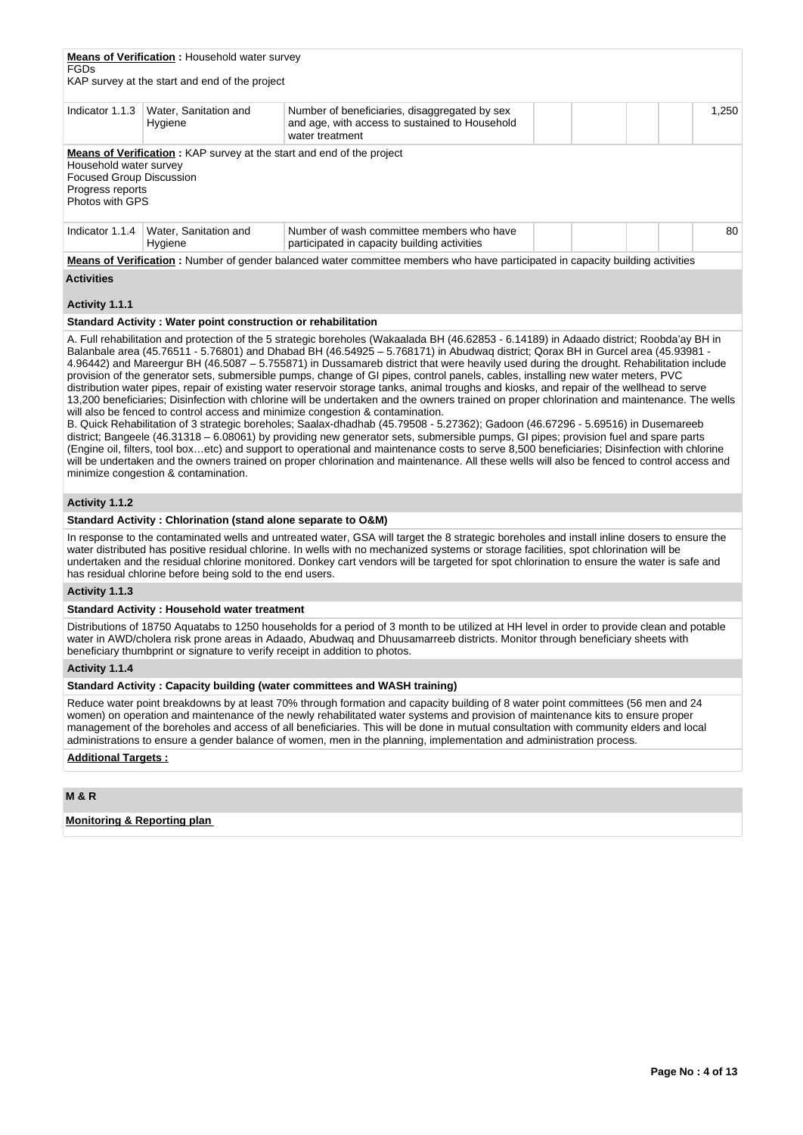| <b>FGDs</b>                                                                                      | <b>Means of Verification:</b> Household water survey<br>KAP survey at the start and end of the project |                                                                                                                                 |  |  |       |
|--------------------------------------------------------------------------------------------------|--------------------------------------------------------------------------------------------------------|---------------------------------------------------------------------------------------------------------------------------------|--|--|-------|
| Indicator 1.1.3                                                                                  | Water, Sanitation and<br>Hygiene                                                                       | Number of beneficiaries, disaggregated by sex<br>and age, with access to sustained to Household<br>water treatment              |  |  | 1.250 |
| Household water survey<br><b>Focused Group Discussion</b><br>Progress reports<br>Photos with GPS | <b>Means of Verification:</b> KAP survey at the start and end of the project                           |                                                                                                                                 |  |  |       |
| Indicator 1.1.4                                                                                  | Water, Sanitation and<br>Hygiene                                                                       | Number of wash committee members who have<br>participated in capacity building activities                                       |  |  | 80    |
|                                                                                                  |                                                                                                        | Means of Verification : Number of gender balanced water committee members who have participated in canacity building activities |  |  |       |

**Means of Verification :** Number of gender balanced water committee members who have participated in capacity building activities

# **Activities**

# **Activity 1.1.1**

### **Standard Activity : Water point construction or rehabilitation**

A. Full rehabilitation and protection of the 5 strategic boreholes (Wakaalada BH (46.62853 - 6.14189) in Adaado district; Roobda'ay BH in Balanbale area (45.76511 - 5.76801) and Dhabad BH (46.54925 – 5.768171) in Abudwaq district; Qorax BH in Gurcel area (45.93981 - 4.96442) and Mareergur BH (46.5087 – 5.755871) in Dussamareb district that were heavily used during the drought. Rehabilitation include provision of the generator sets, submersible pumps, change of GI pipes, control panels, cables, installing new water meters, PVC distribution water pipes, repair of existing water reservoir storage tanks, animal troughs and kiosks, and repair of the wellhead to serve 13,200 beneficiaries; Disinfection with chlorine will be undertaken and the owners trained on proper chlorination and maintenance. The wells will also be fenced to control access and minimize congestion & contamination.

B. Quick Rehabilitation of 3 strategic boreholes; Saalax-dhadhab (45.79508 - 5.27362); Gadoon (46.67296 - 5.69516) in Dusemareeb district; Bangeele (46.31318 – 6.08061) by providing new generator sets, submersible pumps, GI pipes; provision fuel and spare parts (Engine oil, filters, tool box…etc) and support to operational and maintenance costs to serve 8,500 beneficiaries; Disinfection with chlorine will be undertaken and the owners trained on proper chlorination and maintenance. All these wells will also be fenced to control access and minimize congestion & contamination.

### **Activity 1.1.2**

#### **Standard Activity : Chlorination (stand alone separate to O&M)**

In response to the contaminated wells and untreated water, GSA will target the 8 strategic boreholes and install inline dosers to ensure the water distributed has positive residual chlorine. In wells with no mechanized systems or storage facilities, spot chlorination will be undertaken and the residual chlorine monitored. Donkey cart vendors will be targeted for spot chlorination to ensure the water is safe and has residual chlorine before being sold to the end users.

#### **Activity 1.1.3**

#### **Standard Activity : Household water treatment**

Distributions of 18750 Aquatabs to 1250 households for a period of 3 month to be utilized at HH level in order to provide clean and potable water in AWD/cholera risk prone areas in Adaado, Abudwaq and Dhuusamarreeb districts. Monitor through beneficiary sheets with beneficiary thumbprint or signature to verify receipt in addition to photos.

#### **Activity 1.1.4**

### **Standard Activity : Capacity building (water committees and WASH training)**

Reduce water point breakdowns by at least 70% through formation and capacity building of 8 water point committees (56 men and 24 women) on operation and maintenance of the newly rehabilitated water systems and provision of maintenance kits to ensure proper management of the boreholes and access of all beneficiaries. This will be done in mutual consultation with community elders and local administrations to ensure a gender balance of women, men in the planning, implementation and administration process.

# **Additional Targets :**

### **M & R**

### **Monitoring & Reporting plan**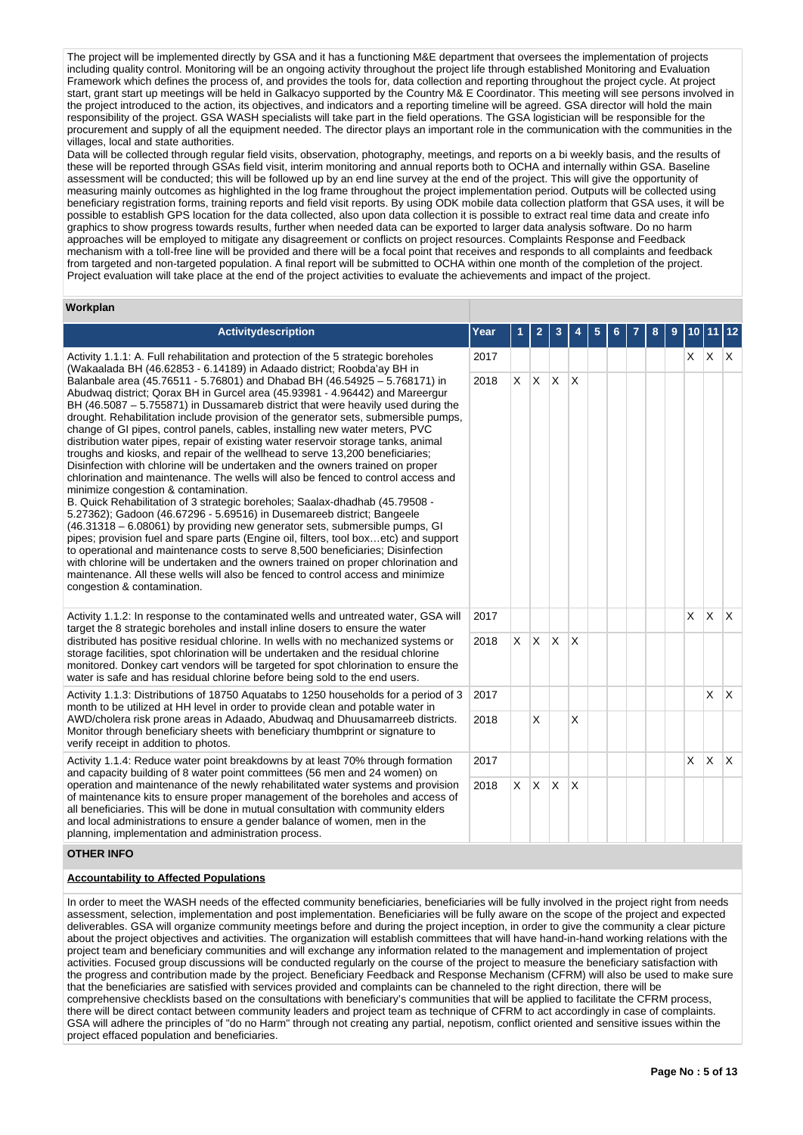The project will be implemented directly by GSA and it has a functioning M&E department that oversees the implementation of projects including quality control. Monitoring will be an ongoing activity throughout the project life through established Monitoring and Evaluation Framework which defines the process of, and provides the tools for, data collection and reporting throughout the project cycle. At project start, grant start up meetings will be held in Galkacyo supported by the Country M& E Coordinator. This meeting will see persons involved in the project introduced to the action, its objectives, and indicators and a reporting timeline will be agreed. GSA director will hold the main responsibility of the project. GSA WASH specialists will take part in the field operations. The GSA logistician will be responsible for the procurement and supply of all the equipment needed. The director plays an important role in the communication with the communities in the villages, local and state authorities.

Data will be collected through regular field visits, observation, photography, meetings, and reports on a bi weekly basis, and the results of these will be reported through GSAs field visit, interim monitoring and annual reports both to OCHA and internally within GSA. Baseline assessment will be conducted; this will be followed up by an end line survey at the end of the project. This will give the opportunity of measuring mainly outcomes as highlighted in the log frame throughout the project implementation period. Outputs will be collected using beneficiary registration forms, training reports and field visit reports. By using ODK mobile data collection platform that GSA uses, it will be possible to establish GPS location for the data collected, also upon data collection it is possible to extract real time data and create info graphics to show progress towards results, further when needed data can be exported to larger data analysis software. Do no harm approaches will be employed to mitigate any disagreement or conflicts on project resources. Complaints Response and Feedback mechanism with a toll-free line will be provided and there will be a focal point that receives and responds to all complaints and feedback from targeted and non-targeted population. A final report will be submitted to OCHA within one month of the completion of the project. Project evaluation will take place at the end of the project activities to evaluate the achievements and impact of the project.

#### **Workplan**

| <b>Activitydescription</b>                                                                                                                                                                                                                                                                                                                                                                                                                                                                                                                                                                                                                                                                                                                                                                                                                                                                                                                                                                                                                                                                                                                                                                                                                                                                                                                                                                                                              | Year |          | 2        | 3            |   | 5 |  | 8 | 9 | 10           | 11           | 12           |
|-----------------------------------------------------------------------------------------------------------------------------------------------------------------------------------------------------------------------------------------------------------------------------------------------------------------------------------------------------------------------------------------------------------------------------------------------------------------------------------------------------------------------------------------------------------------------------------------------------------------------------------------------------------------------------------------------------------------------------------------------------------------------------------------------------------------------------------------------------------------------------------------------------------------------------------------------------------------------------------------------------------------------------------------------------------------------------------------------------------------------------------------------------------------------------------------------------------------------------------------------------------------------------------------------------------------------------------------------------------------------------------------------------------------------------------------|------|----------|----------|--------------|---|---|--|---|---|--------------|--------------|--------------|
| Activity 1.1.1: A. Full rehabilitation and protection of the 5 strategic boreholes<br>(Wakaalada BH (46.62853 - 6.14189) in Adaado district; Roobda'ay BH in                                                                                                                                                                                                                                                                                                                                                                                                                                                                                                                                                                                                                                                                                                                                                                                                                                                                                                                                                                                                                                                                                                                                                                                                                                                                            |      |          |          |              |   |   |  |   |   | X.           | ΙX.          | $\mathsf{X}$ |
| Balanbale area (45.76511 - 5.76801) and Dhabad BH (46.54925 - 5.768171) in<br>Abudwag district; Qorax BH in Gurcel area (45.93981 - 4.96442) and Mareergur<br>BH (46.5087 – 5.755871) in Dussamareb district that were heavily used during the<br>drought. Rehabilitation include provision of the generator sets, submersible pumps,<br>change of GI pipes, control panels, cables, installing new water meters, PVC<br>distribution water pipes, repair of existing water reservoir storage tanks, animal<br>troughs and kiosks, and repair of the wellhead to serve 13,200 beneficiaries;<br>Disinfection with chlorine will be undertaken and the owners trained on proper<br>chlorination and maintenance. The wells will also be fenced to control access and<br>minimize congestion & contamination.<br>B. Quick Rehabilitation of 3 strategic boreholes; Saalax-dhadhab (45.79508 -<br>5.27362); Gadoon (46.67296 - 5.69516) in Dusemareeb district; Bangeele<br>(46.31318 – 6.08061) by providing new generator sets, submersible pumps, GI<br>pipes; provision fuel and spare parts (Engine oil, filters, tool boxetc) and support<br>to operational and maintenance costs to serve 8,500 beneficiaries; Disinfection<br>with chlorine will be undertaken and the owners trained on proper chlorination and<br>maintenance. All these wells will also be fenced to control access and minimize<br>congestion & contamination. | 2018 | X        | X.       | $\mathsf{X}$ | X |   |  |   |   |              |              |              |
| Activity 1.1.2: In response to the contaminated wells and untreated water, GSA will<br>target the 8 strategic boreholes and install inline dosers to ensure the water                                                                                                                                                                                                                                                                                                                                                                                                                                                                                                                                                                                                                                                                                                                                                                                                                                                                                                                                                                                                                                                                                                                                                                                                                                                                   | 2017 |          |          |              |   |   |  |   |   | $\mathsf{x}$ | $\mathsf{X}$ | $\mathsf{X}$ |
| distributed has positive residual chlorine. In wells with no mechanized systems or<br>storage facilities, spot chlorination will be undertaken and the residual chlorine<br>monitored. Donkey cart vendors will be targeted for spot chlorination to ensure the<br>water is safe and has residual chlorine before being sold to the end users.                                                                                                                                                                                                                                                                                                                                                                                                                                                                                                                                                                                                                                                                                                                                                                                                                                                                                                                                                                                                                                                                                          | 2018 | $\times$ | <b>X</b> | <b>X</b>     | X |   |  |   |   |              |              |              |
| Activity 1.1.3: Distributions of 18750 Aquatabs to 1250 households for a period of 3<br>month to be utilized at HH level in order to provide clean and potable water in                                                                                                                                                                                                                                                                                                                                                                                                                                                                                                                                                                                                                                                                                                                                                                                                                                                                                                                                                                                                                                                                                                                                                                                                                                                                 | 2017 |          |          |              |   |   |  |   |   |              | X            | $\mathsf{X}$ |
| AWD/cholera risk prone areas in Adaado, Abudwag and Dhuusamarreeb districts.<br>Monitor through beneficiary sheets with beneficiary thumbprint or signature to<br>verify receipt in addition to photos.                                                                                                                                                                                                                                                                                                                                                                                                                                                                                                                                                                                                                                                                                                                                                                                                                                                                                                                                                                                                                                                                                                                                                                                                                                 | 2018 |          | X        |              | X |   |  |   |   |              |              |              |
| Activity 1.1.4: Reduce water point breakdowns by at least 70% through formation                                                                                                                                                                                                                                                                                                                                                                                                                                                                                                                                                                                                                                                                                                                                                                                                                                                                                                                                                                                                                                                                                                                                                                                                                                                                                                                                                         | 2017 |          |          |              |   |   |  |   |   | $\times$     | $\mathsf{X}$ | $\mathsf{X}$ |
| and capacity building of 8 water point committees (56 men and 24 women) on<br>operation and maintenance of the newly rehabilitated water systems and provision<br>2018<br>of maintenance kits to ensure proper management of the boreholes and access of<br>all beneficiaries. This will be done in mutual consultation with community elders<br>and local administrations to ensure a gender balance of women, men in the<br>planning, implementation and administration process.                                                                                                                                                                                                                                                                                                                                                                                                                                                                                                                                                                                                                                                                                                                                                                                                                                                                                                                                                      |      | X        | X.       | ΙX.          | X |   |  |   |   |              |              |              |
| <b>OTHER INFO</b>                                                                                                                                                                                                                                                                                                                                                                                                                                                                                                                                                                                                                                                                                                                                                                                                                                                                                                                                                                                                                                                                                                                                                                                                                                                                                                                                                                                                                       |      |          |          |              |   |   |  |   |   |              |              |              |

### **Accountability to Affected Populations**

In order to meet the WASH needs of the effected community beneficiaries, beneficiaries will be fully involved in the project right from needs assessment, selection, implementation and post implementation. Beneficiaries will be fully aware on the scope of the project and expected deliverables. GSA will organize community meetings before and during the project inception, in order to give the community a clear picture about the project objectives and activities. The organization will establish committees that will have hand-in-hand working relations with the project team and beneficiary communities and will exchange any information related to the management and implementation of project activities. Focused group discussions will be conducted regularly on the course of the project to measure the beneficiary satisfaction with the progress and contribution made by the project. Beneficiary Feedback and Response Mechanism (CFRM) will also be used to make sure that the beneficiaries are satisfied with services provided and complaints can be channeled to the right direction, there will be comprehensive checklists based on the consultations with beneficiary's communities that will be applied to facilitate the CFRM process, there will be direct contact between community leaders and project team as technique of CFRM to act accordingly in case of complaints. GSA will adhere the principles of "do no Harm" through not creating any partial, nepotism, conflict oriented and sensitive issues within the project effaced population and beneficiaries.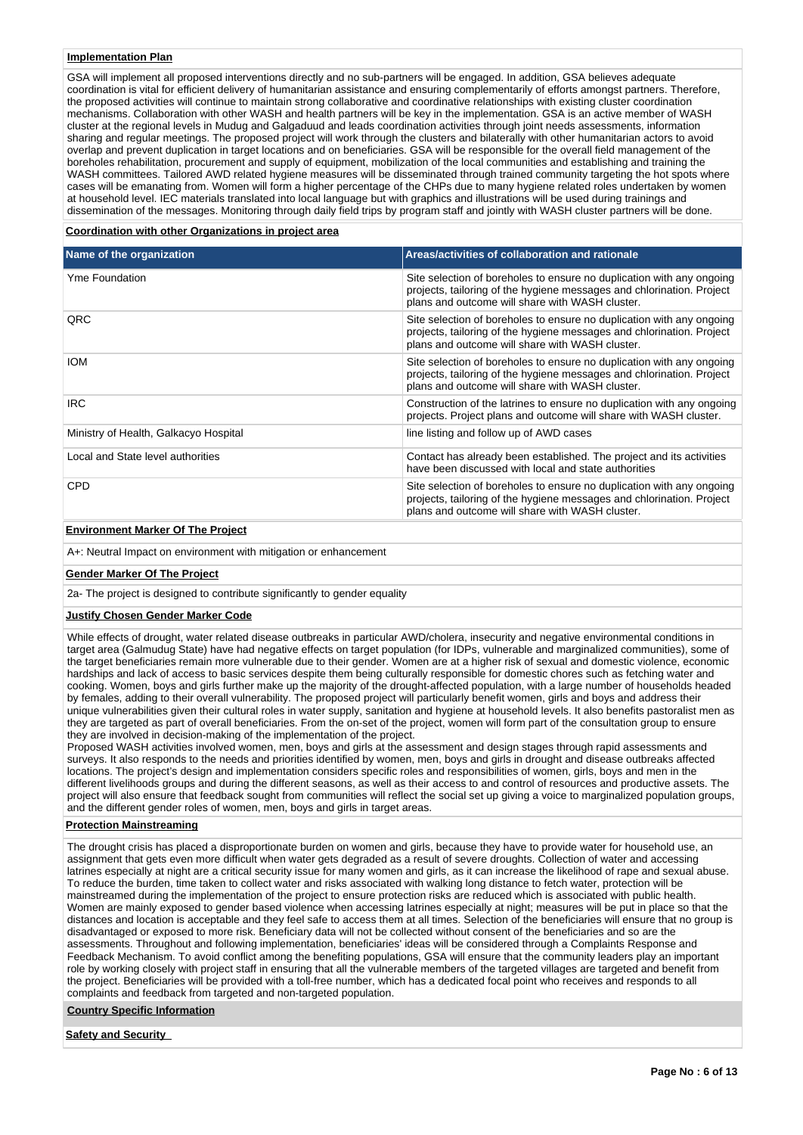#### **Implementation Plan**

GSA will implement all proposed interventions directly and no sub-partners will be engaged. In addition, GSA believes adequate coordination is vital for efficient delivery of humanitarian assistance and ensuring complementarily of efforts amongst partners. Therefore, the proposed activities will continue to maintain strong collaborative and coordinative relationships with existing cluster coordination mechanisms. Collaboration with other WASH and health partners will be key in the implementation. GSA is an active member of WASH cluster at the regional levels in Mudug and Galgaduud and leads coordination activities through joint needs assessments, information sharing and regular meetings. The proposed project will work through the clusters and bilaterally with other humanitarian actors to avoid overlap and prevent duplication in target locations and on beneficiaries. GSA will be responsible for the overall field management of the boreholes rehabilitation, procurement and supply of equipment, mobilization of the local communities and establishing and training the WASH committees. Tailored AWD related hygiene measures will be disseminated through trained community targeting the hot spots where cases will be emanating from. Women will form a higher percentage of the CHPs due to many hygiene related roles undertaken by women at household level. IEC materials translated into local language but with graphics and illustrations will be used during trainings and dissemination of the messages. Monitoring through daily field trips by program staff and jointly with WASH cluster partners will be done.

### **Coordination with other Organizations in project area**

| Name of the organization              | Areas/activities of collaboration and rationale                                                                                                                                                   |
|---------------------------------------|---------------------------------------------------------------------------------------------------------------------------------------------------------------------------------------------------|
| Yme Foundation                        | Site selection of boreholes to ensure no duplication with any ongoing<br>projects, tailoring of the hygiene messages and chlorination. Project<br>plans and outcome will share with WASH cluster. |
| QRC                                   | Site selection of boreholes to ensure no duplication with any ongoing<br>projects, tailoring of the hygiene messages and chlorination. Project<br>plans and outcome will share with WASH cluster. |
| <b>IOM</b>                            | Site selection of boreholes to ensure no duplication with any ongoing<br>projects, tailoring of the hygiene messages and chlorination. Project<br>plans and outcome will share with WASH cluster. |
| <b>IRC</b>                            | Construction of the latrines to ensure no duplication with any ongoing<br>projects. Project plans and outcome will share with WASH cluster.                                                       |
| Ministry of Health, Galkacyo Hospital | line listing and follow up of AWD cases                                                                                                                                                           |
| Local and State level authorities     | Contact has already been established. The project and its activities<br>have been discussed with local and state authorities                                                                      |
| <b>CPD</b>                            | Site selection of boreholes to ensure no duplication with any ongoing<br>projects, tailoring of the hygiene messages and chlorination. Project<br>plans and outcome will share with WASH cluster. |

# **Environment Marker Of The Project**

A+: Neutral Impact on environment with mitigation or enhancement

#### **Gender Marker Of The Project**

2a- The project is designed to contribute significantly to gender equality

#### **Justify Chosen Gender Marker Code**

While effects of drought, water related disease outbreaks in particular AWD/cholera, insecurity and negative environmental conditions in target area (Galmudug State) have had negative effects on target population (for IDPs, vulnerable and marginalized communities), some of the target beneficiaries remain more vulnerable due to their gender. Women are at a higher risk of sexual and domestic violence, economic hardships and lack of access to basic services despite them being culturally responsible for domestic chores such as fetching water and cooking. Women, boys and girls further make up the majority of the drought-affected population, with a large number of households headed by females, adding to their overall vulnerability. The proposed project will particularly benefit women, girls and boys and address their unique vulnerabilities given their cultural roles in water supply, sanitation and hygiene at household levels. It also benefits pastoralist men as they are targeted as part of overall beneficiaries. From the on-set of the project, women will form part of the consultation group to ensure they are involved in decision-making of the implementation of the project.

Proposed WASH activities involved women, men, boys and girls at the assessment and design stages through rapid assessments and surveys. It also responds to the needs and priorities identified by women, men, boys and girls in drought and disease outbreaks affected locations. The project's design and implementation considers specific roles and responsibilities of women, girls, boys and men in the different livelihoods groups and during the different seasons, as well as their access to and control of resources and productive assets. The project will also ensure that feedback sought from communities will reflect the social set up giving a voice to marginalized population groups, and the different gender roles of women, men, boys and girls in target areas.

### **Protection Mainstreaming**

The drought crisis has placed a disproportionate burden on women and girls, because they have to provide water for household use, an assignment that gets even more difficult when water gets degraded as a result of severe droughts. Collection of water and accessing latrines especially at night are a critical security issue for many women and girls, as it can increase the likelihood of rape and sexual abuse. To reduce the burden, time taken to collect water and risks associated with walking long distance to fetch water, protection will be mainstreamed during the implementation of the project to ensure protection risks are reduced which is associated with public health. Women are mainly exposed to gender based violence when accessing latrines especially at night; measures will be put in place so that the distances and location is acceptable and they feel safe to access them at all times. Selection of the beneficiaries will ensure that no group is disadvantaged or exposed to more risk. Beneficiary data will not be collected without consent of the beneficiaries and so are the assessments. Throughout and following implementation, beneficiaries' ideas will be considered through a Complaints Response and Feedback Mechanism. To avoid conflict among the benefiting populations, GSA will ensure that the community leaders play an important role by working closely with project staff in ensuring that all the vulnerable members of the targeted villages are targeted and benefit from the project. Beneficiaries will be provided with a toll-free number, which has a dedicated focal point who receives and responds to all complaints and feedback from targeted and non-targeted population.

#### **Country Specific Information**

**Safety and Security**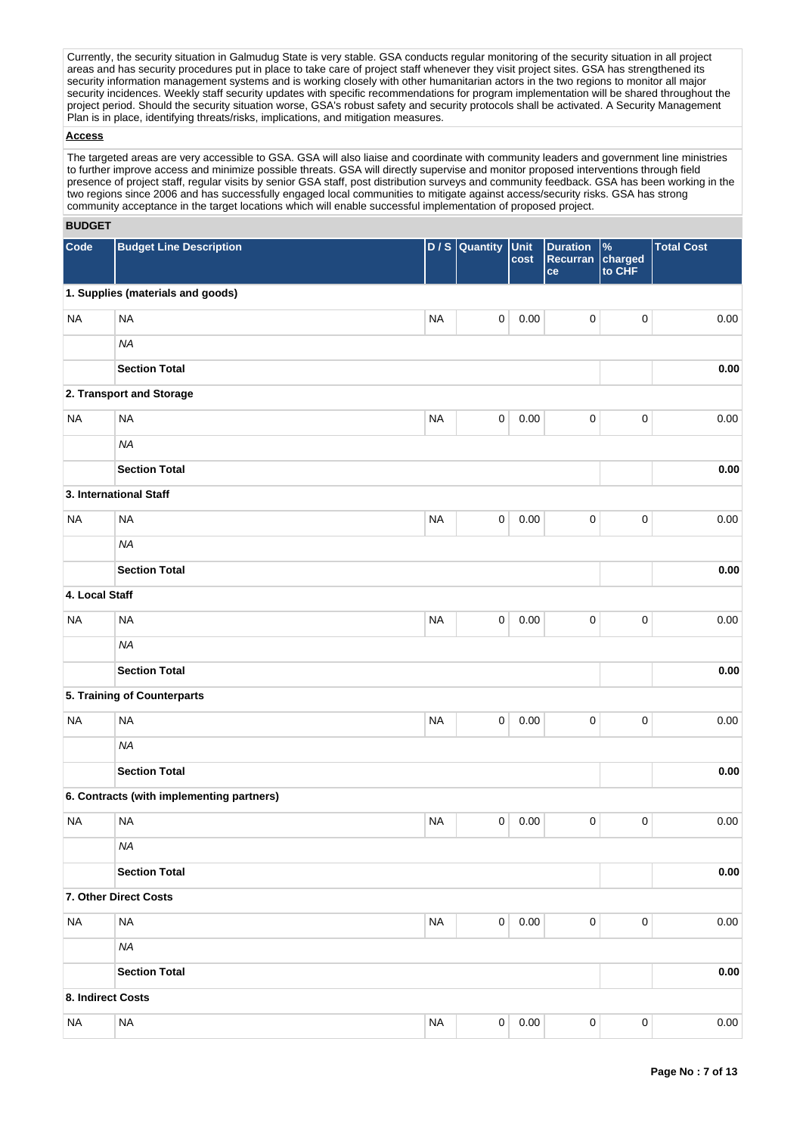Currently, the security situation in Galmudug State is very stable. GSA conducts regular monitoring of the security situation in all project areas and has security procedures put in place to take care of project staff whenever they visit project sites. GSA has strengthened its security information management systems and is working closely with other humanitarian actors in the two regions to monitor all major security incidences. Weekly staff security updates with specific recommendations for program implementation will be shared throughout the project period. Should the security situation worse, GSA's robust safety and security protocols shall be activated. A Security Management Plan is in place, identifying threats/risks, implications, and mitigation measures.

### **Access**

The targeted areas are very accessible to GSA. GSA will also liaise and coordinate with community leaders and government line ministries to further improve access and minimize possible threats. GSA will directly supervise and monitor proposed interventions through field presence of project staff, regular visits by senior GSA staff, post distribution surveys and community feedback. GSA has been working in the two regions since 2006 and has successfully engaged local communities to mitigate against access/security risks. GSA has strong community acceptance in the target locations which will enable successful implementation of proposed project.

### **BUDGET**

| Code              | <b>Budget Line Description</b>            |           | $D / S$ Quantity | Unit<br>cost | <b>Duration</b><br>Recurran<br>ce | $\%$<br>charged<br>to CHF | <b>Total Cost</b> |
|-------------------|-------------------------------------------|-----------|------------------|--------------|-----------------------------------|---------------------------|-------------------|
|                   | 1. Supplies (materials and goods)         |           |                  |              |                                   |                           |                   |
| <b>NA</b>         | <b>NA</b>                                 | <b>NA</b> | $\mathsf 0$      | 0.00         | $\pmb{0}$                         | $\pmb{0}$                 | 0.00              |
|                   | <b>NA</b>                                 |           |                  |              |                                   |                           |                   |
|                   | <b>Section Total</b>                      |           |                  |              |                                   |                           | 0.00              |
|                   | 2. Transport and Storage                  |           |                  |              |                                   |                           |                   |
| <b>NA</b>         | <b>NA</b>                                 | <b>NA</b> | $\pmb{0}$        | 0.00         | 0                                 | $\pmb{0}$                 | 0.00              |
|                   | <b>NA</b>                                 |           |                  |              |                                   |                           |                   |
|                   | <b>Section Total</b>                      |           |                  |              |                                   |                           | 0.00              |
|                   | 3. International Staff                    |           |                  |              |                                   |                           |                   |
| <b>NA</b>         | <b>NA</b>                                 | <b>NA</b> | 0                | 0.00         | 0                                 | $\pmb{0}$                 | 0.00              |
|                   | <b>NA</b>                                 |           |                  |              |                                   |                           |                   |
|                   | <b>Section Total</b>                      |           |                  |              |                                   |                           | 0.00              |
| 4. Local Staff    |                                           |           |                  |              |                                   |                           |                   |
| <b>NA</b>         | <b>NA</b>                                 | <b>NA</b> | 0                | 0.00         | 0                                 | $\pmb{0}$                 | 0.00              |
|                   | <b>NA</b>                                 |           |                  |              |                                   |                           |                   |
|                   | <b>Section Total</b>                      |           |                  |              |                                   |                           | 0.00              |
|                   | 5. Training of Counterparts               |           |                  |              |                                   |                           |                   |
| <b>NA</b>         | <b>NA</b>                                 | <b>NA</b> | $\mathsf 0$      | 0.00         | $\pmb{0}$                         | $\pmb{0}$                 | 0.00              |
|                   | <b>NA</b>                                 |           |                  |              |                                   |                           |                   |
|                   | <b>Section Total</b>                      |           |                  |              |                                   |                           | $0.00\,$          |
|                   | 6. Contracts (with implementing partners) |           |                  |              |                                   |                           |                   |
| <b>NA</b>         | <b>NA</b>                                 | <b>NA</b> | 0                | 0.00         | 0                                 | 0                         | 0.00              |
|                   | <b>NA</b>                                 |           |                  |              |                                   |                           |                   |
|                   | <b>Section Total</b>                      |           |                  |              |                                   |                           | $0.00\,$          |
|                   | 7. Other Direct Costs                     |           |                  |              |                                   |                           |                   |
| <b>NA</b>         | <b>NA</b>                                 | <b>NA</b> | $\mathbf 0$      | 0.00         | $\pmb{0}$                         | $\pmb{0}$                 | 0.00              |
|                   | NA                                        |           |                  |              |                                   |                           |                   |
|                   | <b>Section Total</b>                      |           |                  |              |                                   |                           | $0.00\,$          |
| 8. Indirect Costs |                                           |           |                  |              |                                   |                           |                   |
| <b>NA</b>         | $\sf NA$                                  | <b>NA</b> | $\pmb{0}$        | 0.00         | $\pmb{0}$                         | $\pmb{0}$                 | 0.00              |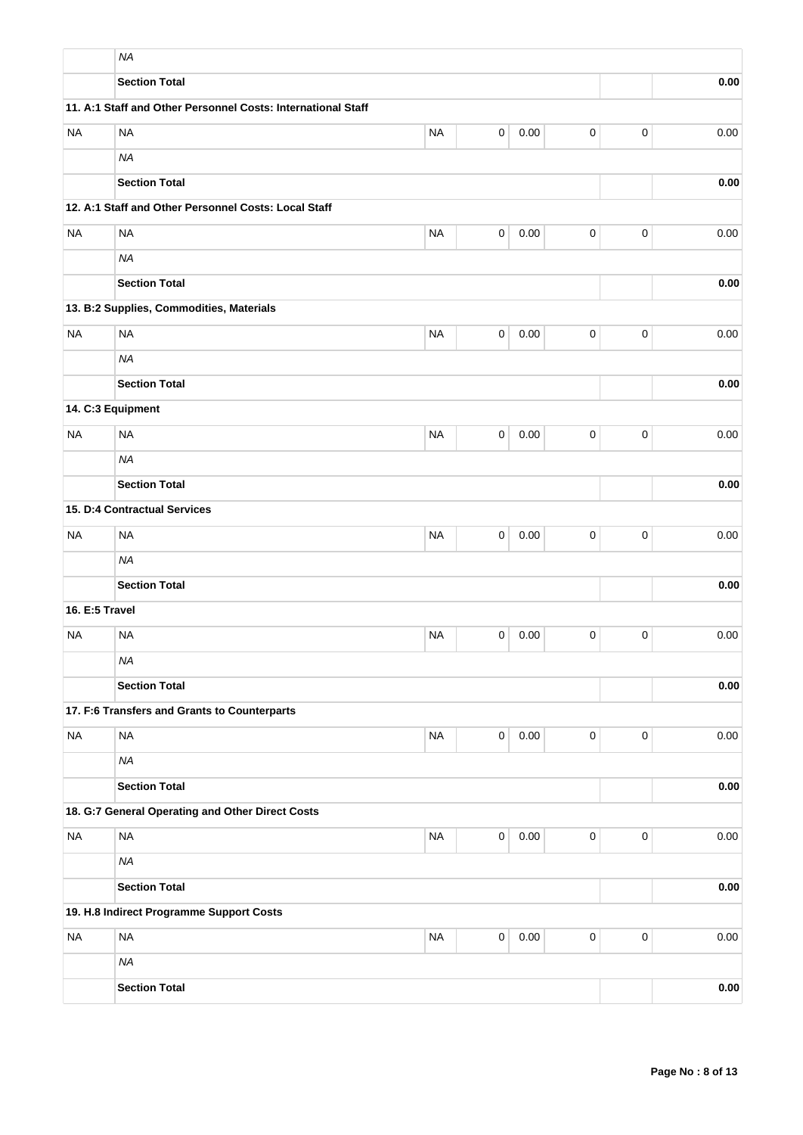|                | <b>NA</b>                                                    |           |                |          |             |             |      |
|----------------|--------------------------------------------------------------|-----------|----------------|----------|-------------|-------------|------|
|                | <b>Section Total</b>                                         |           |                |          |             |             | 0.00 |
|                | 11. A:1 Staff and Other Personnel Costs: International Staff |           |                |          |             |             |      |
| <b>NA</b>      | <b>NA</b>                                                    | <b>NA</b> | $\mathsf 0$    | 0.00     | 0           | $\mathbf 0$ | 0.00 |
|                | <b>NA</b>                                                    |           |                |          |             |             |      |
|                | <b>Section Total</b>                                         |           |                |          |             |             | 0.00 |
|                | 12. A:1 Staff and Other Personnel Costs: Local Staff         |           |                |          |             |             |      |
| <b>NA</b>      | <b>NA</b>                                                    | <b>NA</b> | $\mathsf 0$    | 0.00     | $\pmb{0}$   | $\mathbf 0$ | 0.00 |
|                | <b>NA</b>                                                    |           |                |          |             |             |      |
|                | <b>Section Total</b>                                         |           |                |          |             |             | 0.00 |
|                | 13. B:2 Supplies, Commodities, Materials                     |           |                |          |             |             |      |
| <b>NA</b>      | <b>NA</b>                                                    | <b>NA</b> | 0              | 0.00     | 0           | $\mathbf 0$ | 0.00 |
|                | <b>NA</b>                                                    |           |                |          |             |             |      |
|                | <b>Section Total</b>                                         |           |                |          |             |             | 0.00 |
|                | 14. C:3 Equipment                                            |           |                |          |             |             |      |
| <b>NA</b>      | <b>NA</b>                                                    | <b>NA</b> | 0              | 0.00     | $\pmb{0}$   | 0           | 0.00 |
|                | <b>NA</b>                                                    |           |                |          |             |             |      |
|                | <b>Section Total</b>                                         |           |                |          |             |             | 0.00 |
|                | 15. D:4 Contractual Services                                 |           |                |          |             |             |      |
| <b>NA</b>      | <b>NA</b>                                                    | <b>NA</b> | 0              | 0.00     | $\pmb{0}$   | $\mathbf 0$ | 0.00 |
|                | <b>NA</b>                                                    |           |                |          |             |             |      |
|                | <b>Section Total</b>                                         |           |                |          |             |             | 0.00 |
| 16. E:5 Travel |                                                              |           |                |          |             |             |      |
| <b>NA</b>      | <b>NA</b>                                                    | <b>NA</b> | 0              | 0.00     | 0           | $\mathbf 0$ | 0.00 |
|                | <b>NA</b>                                                    |           |                |          |             |             |      |
|                | <b>Section Total</b>                                         |           |                |          |             |             | 0.00 |
|                | 17. F:6 Transfers and Grants to Counterparts                 |           |                |          |             |             |      |
| <b>NA</b>      | <b>NA</b>                                                    | <b>NA</b> | $\overline{0}$ | 0.00     | 0           | $\mathbf 0$ | 0.00 |
|                | <b>NA</b>                                                    |           |                |          |             |             |      |
|                | <b>Section Total</b>                                         |           |                |          |             |             | 0.00 |
|                | 18. G:7 General Operating and Other Direct Costs             |           |                |          |             |             |      |
| <b>NA</b>      | <b>NA</b>                                                    | <b>NA</b> | $\overline{0}$ | 0.00     | $\mathbf 0$ | $\mathbf 0$ | 0.00 |
|                | <b>NA</b>                                                    |           |                |          |             |             |      |
|                | <b>Section Total</b>                                         |           |                |          |             |             | 0.00 |
|                | 19. H.8 Indirect Programme Support Costs                     |           |                |          |             |             |      |
| <b>NA</b>      | <b>NA</b>                                                    | <b>NA</b> | $\mathbf 0$    | $0.00\,$ | $\pmb{0}$   | $\mathbf 0$ | 0.00 |
|                | <b>NA</b>                                                    |           |                |          |             |             |      |
|                | <b>Section Total</b>                                         |           |                |          |             |             | 0.00 |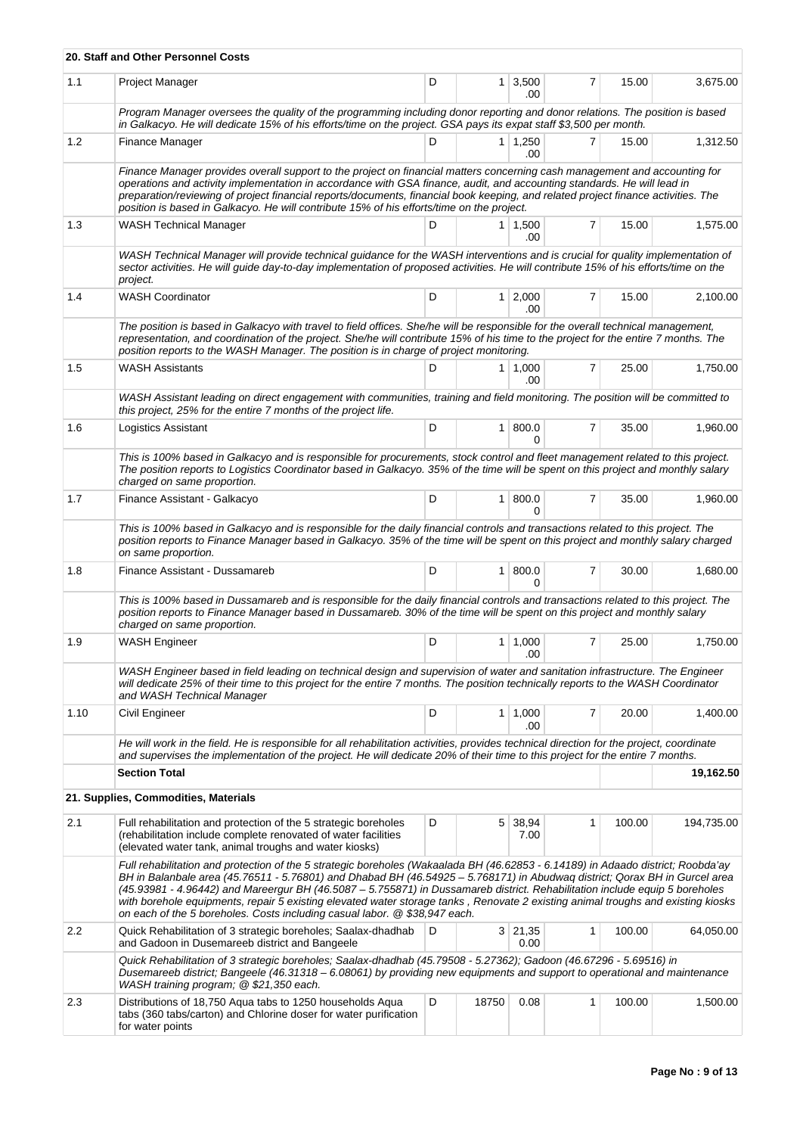|      | 20. Staff and Other Personnel Costs                                                                                                                                                                                                                                                                                                                                                                                                                                                                                                                                                                               |   |       |                       |   |        |            |  |
|------|-------------------------------------------------------------------------------------------------------------------------------------------------------------------------------------------------------------------------------------------------------------------------------------------------------------------------------------------------------------------------------------------------------------------------------------------------------------------------------------------------------------------------------------------------------------------------------------------------------------------|---|-------|-----------------------|---|--------|------------|--|
| 1.1  | Project Manager                                                                                                                                                                                                                                                                                                                                                                                                                                                                                                                                                                                                   | D |       | $1 \, 3,500$<br>.00   | 7 | 15.00  | 3,675.00   |  |
|      | Program Manager oversees the quality of the programming including donor reporting and donor relations. The position is based<br>in Galkacyo. He will dedicate 15% of his efforts/time on the project. GSA pays its expat staff \$3,500 per month.                                                                                                                                                                                                                                                                                                                                                                 |   |       |                       |   |        |            |  |
| 1.2  | Finance Manager                                                                                                                                                                                                                                                                                                                                                                                                                                                                                                                                                                                                   | D |       | 1 1,250<br>.00        | 7 | 15.00  | 1,312.50   |  |
|      | Finance Manager provides overall support to the project on financial matters concerning cash management and accounting for<br>operations and activity implementation in accordance with GSA finance, audit, and accounting standards. He will lead in<br>preparation/reviewing of project financial reports/documents, financial book keeping, and related project finance activities. The<br>position is based in Galkacyo. He will contribute 15% of his efforts/time on the project.                                                                                                                           |   |       |                       |   |        |            |  |
| 1.3  | <b>WASH Technical Manager</b>                                                                                                                                                                                                                                                                                                                                                                                                                                                                                                                                                                                     | D |       | $1 \mid 1,500$<br>.00 | 7 | 15.00  | 1,575.00   |  |
|      | WASH Technical Manager will provide technical guidance for the WASH interventions and is crucial for quality implementation of<br>sector activities. He will guide day-to-day implementation of proposed activities. He will contribute 15% of his efforts/time on the<br>project.                                                                                                                                                                                                                                                                                                                                |   |       |                       |   |        |            |  |
| 1.4  | <b>WASH Coordinator</b>                                                                                                                                                                                                                                                                                                                                                                                                                                                                                                                                                                                           | D |       | $1 \ 2,000$<br>.00    | 7 | 15.00  | 2,100.00   |  |
|      | The position is based in Galkacyo with travel to field offices. She/he will be responsible for the overall technical management,<br>representation, and coordination of the project. She/he will contribute 15% of his time to the project for the entire 7 months. The<br>position reports to the WASH Manager. The position is in charge of project monitoring.                                                                                                                                                                                                                                                 |   |       |                       |   |        |            |  |
| 1.5  | <b>WASH Assistants</b>                                                                                                                                                                                                                                                                                                                                                                                                                                                                                                                                                                                            | D |       | $1 \mid 1,000$<br>.00 | 7 | 25.00  | 1,750.00   |  |
|      | WASH Assistant leading on direct engagement with communities, training and field monitoring. The position will be committed to<br>this project, 25% for the entire 7 months of the project life.                                                                                                                                                                                                                                                                                                                                                                                                                  |   |       |                       |   |        |            |  |
| 1.6  | Logistics Assistant                                                                                                                                                                                                                                                                                                                                                                                                                                                                                                                                                                                               | D |       | 1   800.0<br>$\Omega$ | 7 | 35.00  | 1,960.00   |  |
|      | This is 100% based in Galkacyo and is responsible for procurements, stock control and fleet management related to this project.<br>The position reports to Logistics Coordinator based in Galkacyo. 35% of the time will be spent on this project and monthly salary<br>charged on same proportion.                                                                                                                                                                                                                                                                                                               |   |       |                       |   |        |            |  |
| 1.7  | Finance Assistant - Galkacyo                                                                                                                                                                                                                                                                                                                                                                                                                                                                                                                                                                                      | D |       | 1   800.0<br>$\Omega$ | 7 | 35.00  | 1,960.00   |  |
|      | This is 100% based in Galkacyo and is responsible for the daily financial controls and transactions related to this project. The<br>position reports to Finance Manager based in Galkacyo. 35% of the time will be spent on this project and monthly salary charged<br>on same proportion.                                                                                                                                                                                                                                                                                                                        |   |       |                       |   |        |            |  |
| 1.8  | Finance Assistant - Dussamareb                                                                                                                                                                                                                                                                                                                                                                                                                                                                                                                                                                                    | D |       | 1 800.0<br>0          | 7 | 30.00  | 1,680.00   |  |
|      | This is 100% based in Dussamareb and is responsible for the daily financial controls and transactions related to this project. The<br>position reports to Finance Manager based in Dussamareb. 30% of the time will be spent on this project and monthly salary<br>charged on same proportion.                                                                                                                                                                                                                                                                                                                    |   |       |                       |   |        |            |  |
| 1.9  | <b>WASH Engineer</b>                                                                                                                                                                                                                                                                                                                                                                                                                                                                                                                                                                                              | D |       | $1 \mid 1,000$<br>.00 | 7 | 25.00  | 1,750.00   |  |
|      | WASH Engineer based in field leading on technical design and supervision of water and sanitation infrastructure. The Engineer<br>will dedicate 25% of their time to this project for the entire 7 months. The position technically reports to the WASH Coordinator<br>and WASH Technical Manager                                                                                                                                                                                                                                                                                                                  |   |       |                       |   |        |            |  |
| 1.10 | Civil Engineer                                                                                                                                                                                                                                                                                                                                                                                                                                                                                                                                                                                                    | D |       | $1 \mid 1,000$<br>.00 | 7 | 20.00  | 1,400.00   |  |
|      | He will work in the field. He is responsible for all rehabilitation activities, provides technical direction for the project, coordinate<br>and supervises the implementation of the project. He will dedicate 20% of their time to this project for the entire 7 months.                                                                                                                                                                                                                                                                                                                                         |   |       |                       |   |        |            |  |
|      | <b>Section Total</b><br>19,162.50                                                                                                                                                                                                                                                                                                                                                                                                                                                                                                                                                                                 |   |       |                       |   |        |            |  |
|      | 21. Supplies, Commodities, Materials                                                                                                                                                                                                                                                                                                                                                                                                                                                                                                                                                                              |   |       |                       |   |        |            |  |
| 2.1  | Full rehabilitation and protection of the 5 strategic boreholes<br>(rehabilitation include complete renovated of water facilities<br>(elevated water tank, animal troughs and water kiosks)                                                                                                                                                                                                                                                                                                                                                                                                                       | D | 5     | 38,94<br>7.00         | 1 | 100.00 | 194,735.00 |  |
|      | Full rehabilitation and protection of the 5 strategic boreholes (Wakaalada BH (46.62853 - 6.14189) in Adaado district; Roobda'ay<br>BH in Balanbale area (45.76511 - 5.76801) and Dhabad BH (46.54925 - 5.768171) in Abudwaq district; Qorax BH in Gurcel area<br>(45.93981 - 4.96442) and Mareergur BH (46.5087 - 5.755871) in Dussamareb district. Rehabilitation include equip 5 boreholes<br>with borehole equipments, repair 5 existing elevated water storage tanks, Renovate 2 existing animal troughs and existing kiosks<br>on each of the 5 boreholes. Costs including casual labor. $@$ \$38,947 each. |   |       |                       |   |        |            |  |
| 2.2  | Quick Rehabilitation of 3 strategic boreholes; Saalax-dhadhab<br>and Gadoon in Dusemareeb district and Bangeele                                                                                                                                                                                                                                                                                                                                                                                                                                                                                                   | D |       | 3 21,35<br>0.00       | 1 | 100.00 | 64,050.00  |  |
|      | Quick Rehabilitation of 3 strategic boreholes; Saalax-dhadhab (45.79508 - 5.27362); Gadoon (46.67296 - 5.69516) in<br>Dusemareeb district; Bangeele (46.31318 - 6.08061) by providing new equipments and support to operational and maintenance<br>WASH training program; @ \$21,350 each.                                                                                                                                                                                                                                                                                                                        |   |       |                       |   |        |            |  |
| 2.3  | Distributions of 18,750 Aqua tabs to 1250 households Aqua<br>tabs (360 tabs/carton) and Chlorine doser for water purification<br>for water points                                                                                                                                                                                                                                                                                                                                                                                                                                                                 | D | 18750 | 0.08                  | 1 | 100.00 | 1,500.00   |  |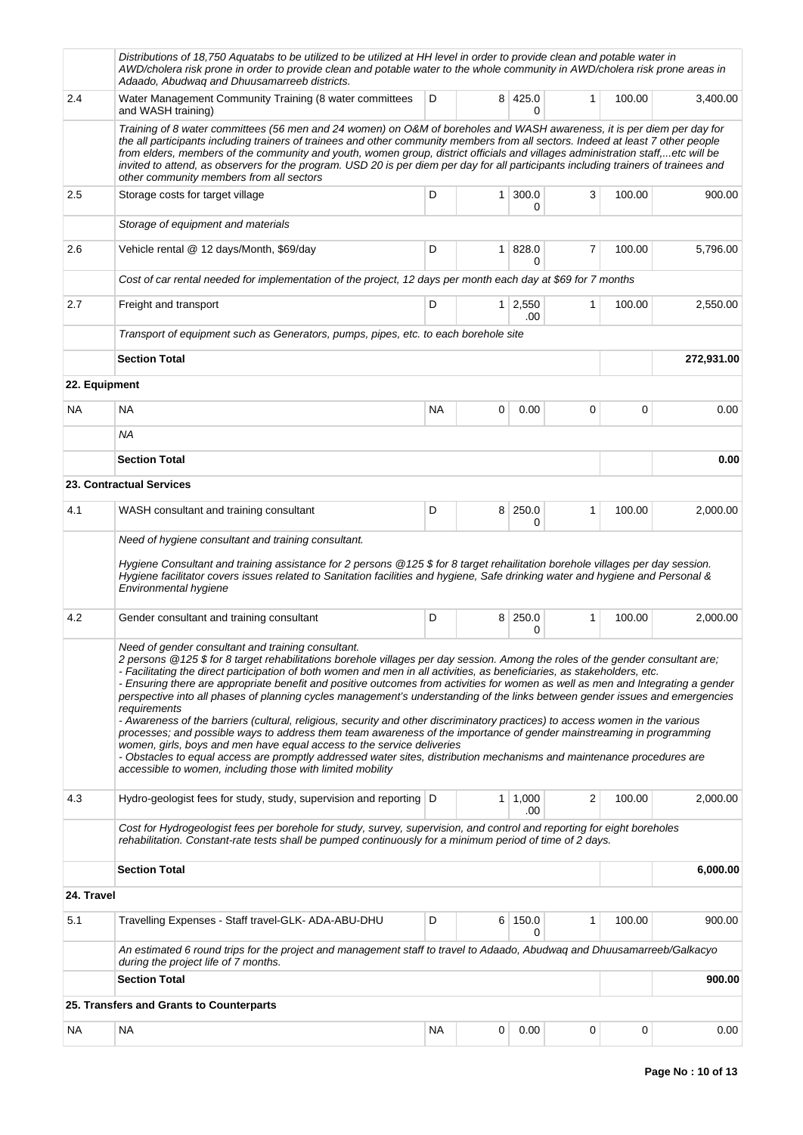|               | Distributions of 18,750 Aquatabs to be utilized to be utilized at HH level in order to provide clean and potable water in<br>AWD/cholera risk prone in order to provide clean and potable water to the whole community in AWD/cholera risk prone areas in<br>Adaado, Abudwaq and Dhuusamarreeb districts.                                                                                                                                                                                                                                                                                                                                                                                                                                                                                                                                                                                                                                                                                                                                                                                                                        |           |                |              |              |        |            |
|---------------|----------------------------------------------------------------------------------------------------------------------------------------------------------------------------------------------------------------------------------------------------------------------------------------------------------------------------------------------------------------------------------------------------------------------------------------------------------------------------------------------------------------------------------------------------------------------------------------------------------------------------------------------------------------------------------------------------------------------------------------------------------------------------------------------------------------------------------------------------------------------------------------------------------------------------------------------------------------------------------------------------------------------------------------------------------------------------------------------------------------------------------|-----------|----------------|--------------|--------------|--------|------------|
| 2.4           | Water Management Community Training (8 water committees<br>and WASH training)                                                                                                                                                                                                                                                                                                                                                                                                                                                                                                                                                                                                                                                                                                                                                                                                                                                                                                                                                                                                                                                    | D         |                | 8 425.0<br>0 | $\mathbf{1}$ | 100.00 | 3,400.00   |
|               | Training of 8 water committees (56 men and 24 women) on O&M of boreholes and WASH awareness, it is per diem per day for<br>the all participants including trainers of trainees and other community members from all sectors. Indeed at least 7 other people<br>from elders, members of the community and youth, women group, district officials and villages administration staff,etc will be<br>invited to attend, as observers for the program. USD 20 is per diem per day for all participants including trainers of trainees and<br>other community members from all sectors                                                                                                                                                                                                                                                                                                                                                                                                                                                                                                                                                 |           |                |              |              |        |            |
| 2.5           | Storage costs for target village                                                                                                                                                                                                                                                                                                                                                                                                                                                                                                                                                                                                                                                                                                                                                                                                                                                                                                                                                                                                                                                                                                 | D         | 1 <sup>1</sup> | 300.0<br>0   | 3            | 100.00 | 900.00     |
|               | Storage of equipment and materials                                                                                                                                                                                                                                                                                                                                                                                                                                                                                                                                                                                                                                                                                                                                                                                                                                                                                                                                                                                                                                                                                               |           |                |              |              |        |            |
| 2.6           | Vehicle rental @ 12 days/Month, \$69/day                                                                                                                                                                                                                                                                                                                                                                                                                                                                                                                                                                                                                                                                                                                                                                                                                                                                                                                                                                                                                                                                                         | D         | 1 <sup>1</sup> | 828.0<br>0   | 7            | 100.00 | 5,796.00   |
|               | Cost of car rental needed for implementation of the project, 12 days per month each day at \$69 for 7 months                                                                                                                                                                                                                                                                                                                                                                                                                                                                                                                                                                                                                                                                                                                                                                                                                                                                                                                                                                                                                     |           |                |              |              |        |            |
| 2.7           | Freight and transport                                                                                                                                                                                                                                                                                                                                                                                                                                                                                                                                                                                                                                                                                                                                                                                                                                                                                                                                                                                                                                                                                                            | D         | 1 <sup>1</sup> | 2,550<br>.00 | $\mathbf{1}$ | 100.00 | 2,550.00   |
|               | Transport of equipment such as Generators, pumps, pipes, etc. to each borehole site                                                                                                                                                                                                                                                                                                                                                                                                                                                                                                                                                                                                                                                                                                                                                                                                                                                                                                                                                                                                                                              |           |                |              |              |        |            |
|               | <b>Section Total</b>                                                                                                                                                                                                                                                                                                                                                                                                                                                                                                                                                                                                                                                                                                                                                                                                                                                                                                                                                                                                                                                                                                             |           |                |              |              |        | 272,931.00 |
| 22. Equipment |                                                                                                                                                                                                                                                                                                                                                                                                                                                                                                                                                                                                                                                                                                                                                                                                                                                                                                                                                                                                                                                                                                                                  |           |                |              |              |        |            |
| <b>NA</b>     | <b>NA</b>                                                                                                                                                                                                                                                                                                                                                                                                                                                                                                                                                                                                                                                                                                                                                                                                                                                                                                                                                                                                                                                                                                                        | <b>NA</b> | 0              | 0.00         | 0            | 0      | 0.00       |
|               | <b>NA</b>                                                                                                                                                                                                                                                                                                                                                                                                                                                                                                                                                                                                                                                                                                                                                                                                                                                                                                                                                                                                                                                                                                                        |           |                |              |              |        |            |
|               | <b>Section Total</b>                                                                                                                                                                                                                                                                                                                                                                                                                                                                                                                                                                                                                                                                                                                                                                                                                                                                                                                                                                                                                                                                                                             |           |                |              |              |        | 0.00       |
|               | 23. Contractual Services                                                                                                                                                                                                                                                                                                                                                                                                                                                                                                                                                                                                                                                                                                                                                                                                                                                                                                                                                                                                                                                                                                         |           |                |              |              |        |            |
| 4.1           | WASH consultant and training consultant                                                                                                                                                                                                                                                                                                                                                                                                                                                                                                                                                                                                                                                                                                                                                                                                                                                                                                                                                                                                                                                                                          | D         |                | 8 250.0<br>0 | $\mathbf{1}$ | 100.00 | 2,000.00   |
|               | Hygiene Consultant and training assistance for 2 persons @125 \$ for 8 target rehailitation borehole villages per day session.<br>Hygiene facilitator covers issues related to Sanitation facilities and hygiene. Safe drinking water and hygiene and Personal &<br>Environmental hygiene                                                                                                                                                                                                                                                                                                                                                                                                                                                                                                                                                                                                                                                                                                                                                                                                                                        |           |                |              |              |        |            |
| 4.2           | Gender consultant and training consultant                                                                                                                                                                                                                                                                                                                                                                                                                                                                                                                                                                                                                                                                                                                                                                                                                                                                                                                                                                                                                                                                                        | D         | 8              | 250.0<br>0   | 1            | 100.00 | 2,000.00   |
|               | Need of gender consultant and training consultant.<br>2 persons @125 \$ for 8 target rehabilitations borehole villages per day session. Among the roles of the gender consultant are;<br>- Facilitating the direct participation of both women and men in all activities, as beneficiaries, as stakeholders, etc.<br>- Ensuring there are appropriate benefit and positive outcomes from activities for women as well as men and Integrating a gender<br>perspective into all phases of planning cycles management's understanding of the links between gender issues and emergencies<br>requirements<br>- Awareness of the barriers (cultural, religious, security and other discriminatory practices) to access women in the various<br>processes; and possible ways to address them team awareness of the importance of gender mainstreaming in programming<br>women, girls, boys and men have equal access to the service deliveries<br>- Obstacles to equal access are promptly addressed water sites, distribution mechanisms and maintenance procedures are<br>accessible to women, including those with limited mobility |           |                |              |              |        |            |
| 4.3           | Hydro-geologist fees for study, study, supervision and reporting D                                                                                                                                                                                                                                                                                                                                                                                                                                                                                                                                                                                                                                                                                                                                                                                                                                                                                                                                                                                                                                                               |           | 1              | 1,000<br>.00 | 2            | 100.00 | 2,000.00   |
|               | Cost for Hydrogeologist fees per borehole for study, survey, supervision, and control and reporting for eight boreholes<br>rehabilitation. Constant-rate tests shall be pumped continuously for a minimum period of time of 2 days.                                                                                                                                                                                                                                                                                                                                                                                                                                                                                                                                                                                                                                                                                                                                                                                                                                                                                              |           |                |              |              |        |            |
|               | <b>Section Total</b>                                                                                                                                                                                                                                                                                                                                                                                                                                                                                                                                                                                                                                                                                                                                                                                                                                                                                                                                                                                                                                                                                                             |           |                |              |              |        | 6,000.00   |
| 24. Travel    |                                                                                                                                                                                                                                                                                                                                                                                                                                                                                                                                                                                                                                                                                                                                                                                                                                                                                                                                                                                                                                                                                                                                  |           |                |              |              |        |            |
| 5.1           | Travelling Expenses - Staff travel-GLK- ADA-ABU-DHU                                                                                                                                                                                                                                                                                                                                                                                                                                                                                                                                                                                                                                                                                                                                                                                                                                                                                                                                                                                                                                                                              | D         | 6              | 150.0<br>0   | 1            | 100.00 | 900.00     |
|               | An estimated 6 round trips for the project and management staff to travel to Adaado, Abudwaq and Dhuusamarreeb/Galkacyo<br>during the project life of 7 months.                                                                                                                                                                                                                                                                                                                                                                                                                                                                                                                                                                                                                                                                                                                                                                                                                                                                                                                                                                  |           |                |              |              |        |            |
|               | <b>Section Total</b>                                                                                                                                                                                                                                                                                                                                                                                                                                                                                                                                                                                                                                                                                                                                                                                                                                                                                                                                                                                                                                                                                                             |           |                |              |              |        | 900.00     |
|               | 25. Transfers and Grants to Counterparts                                                                                                                                                                                                                                                                                                                                                                                                                                                                                                                                                                                                                                                                                                                                                                                                                                                                                                                                                                                                                                                                                         |           |                |              |              |        |            |
| NA            | NA.                                                                                                                                                                                                                                                                                                                                                                                                                                                                                                                                                                                                                                                                                                                                                                                                                                                                                                                                                                                                                                                                                                                              | NA.       | 0              | 0.00         | 0            | 0      | 0.00       |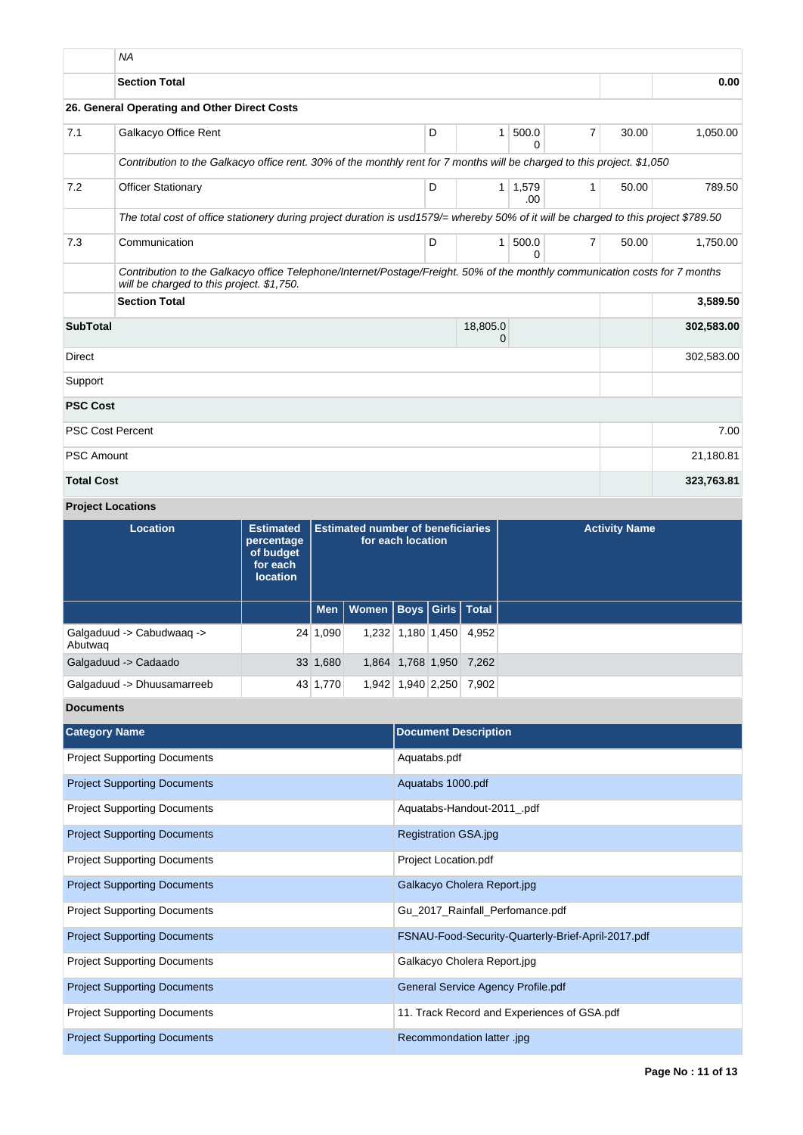|                         | <b>NA</b>                                                                                                                                                                |   |               |              |                |            |            |
|-------------------------|--------------------------------------------------------------------------------------------------------------------------------------------------------------------------|---|---------------|--------------|----------------|------------|------------|
|                         | <b>Section Total</b>                                                                                                                                                     |   |               |              |                |            | 0.00       |
|                         | 26. General Operating and Other Direct Costs                                                                                                                             |   |               |              |                |            |            |
| 7.1                     | Galkacyo Office Rent                                                                                                                                                     | D | 1             | 500.0<br>0   | $\overline{7}$ | 30.00      | 1,050.00   |
|                         | Contribution to the Galkacyo office rent. 30% of the monthly rent for 7 months will be charged to this project. \$1,050                                                  |   |               |              |                |            |            |
| 7.2                     | <b>Officer Stationary</b>                                                                                                                                                | D | 1             | 1,579<br>.00 | $\mathbf{1}$   | 50.00      | 789.50     |
|                         | The total cost of office stationery during project duration is usd1579/= whereby 50% of it will be charged to this project \$789.50                                      |   |               |              |                |            |            |
| 7.3                     | Communication                                                                                                                                                            | D | $\mathbf{1}$  | 500.0<br>0   | $\overline{7}$ | 50.00      | 1,750.00   |
|                         | Contribution to the Galkacyo office Telephone/Internet/Postage/Freight. 50% of the monthly communication costs for 7 months<br>will be charged to this project. \$1,750. |   |               |              |                |            |            |
|                         | <b>Section Total</b><br>3,589.50                                                                                                                                         |   |               |              |                |            |            |
| <b>SubTotal</b>         |                                                                                                                                                                          |   | 18,805.0<br>0 |              |                |            | 302,583.00 |
| <b>Direct</b>           |                                                                                                                                                                          |   |               |              |                |            | 302,583.00 |
| Support                 |                                                                                                                                                                          |   |               |              |                |            |            |
| <b>PSC Cost</b>         |                                                                                                                                                                          |   |               |              |                |            |            |
| <b>PSC Cost Percent</b> |                                                                                                                                                                          |   |               |              |                |            | 7.00       |
| <b>PSC Amount</b>       |                                                                                                                                                                          |   |               |              |                | 21,180.81  |            |
| <b>Total Cost</b>       |                                                                                                                                                                          |   |               |              |                | 323,763.81 |            |

# **Project Locations**

| Location                             | <b>Estimated</b><br>percentage<br>of budget<br>for each<br><b>location</b> | <b>Estimated number of beneficiaries</b><br>for each location |                                    |                   |                         | <b>Activity Name</b> |
|--------------------------------------|----------------------------------------------------------------------------|---------------------------------------------------------------|------------------------------------|-------------------|-------------------------|----------------------|
|                                      |                                                                            |                                                               | Men   Women   Boys   Girls   Total |                   |                         |                      |
| Galgaduud -> Cabudwaag -><br>Abutwag |                                                                            | 24 1,090                                                      |                                    | 1,232 1,180 1,450 | 4,952                   |                      |
| Galgaduud -> Cadaado                 |                                                                            | 33 1,680                                                      |                                    |                   | 1,864 1,768 1,950 7,262 |                      |
| Galgaduud -> Dhuusamarreeb           |                                                                            | 43 1,770                                                      |                                    | 1,942 1,940 2,250 | 7.902                   |                      |

# **Documents**

| <b>Category Name</b>                | <b>Document Description</b>                        |
|-------------------------------------|----------------------------------------------------|
| <b>Project Supporting Documents</b> | Aquatabs.pdf                                       |
| <b>Project Supporting Documents</b> | Aquatabs 1000.pdf                                  |
| <b>Project Supporting Documents</b> | Aquatabs-Handout-2011_.pdf                         |
| <b>Project Supporting Documents</b> | Registration GSA.jpg                               |
| <b>Project Supporting Documents</b> | Project Location.pdf                               |
| <b>Project Supporting Documents</b> | Galkacyo Cholera Report.jpg                        |
| <b>Project Supporting Documents</b> | Gu_2017_Rainfall_Perfomance.pdf                    |
| <b>Project Supporting Documents</b> | FSNAU-Food-Security-Quarterly-Brief-April-2017.pdf |
| <b>Project Supporting Documents</b> | Galkacyo Cholera Report.jpg                        |
| <b>Project Supporting Documents</b> | General Service Agency Profile.pdf                 |
| <b>Project Supporting Documents</b> | 11. Track Record and Experiences of GSA.pdf        |
| <b>Project Supporting Documents</b> | Recommondation latter .jpg                         |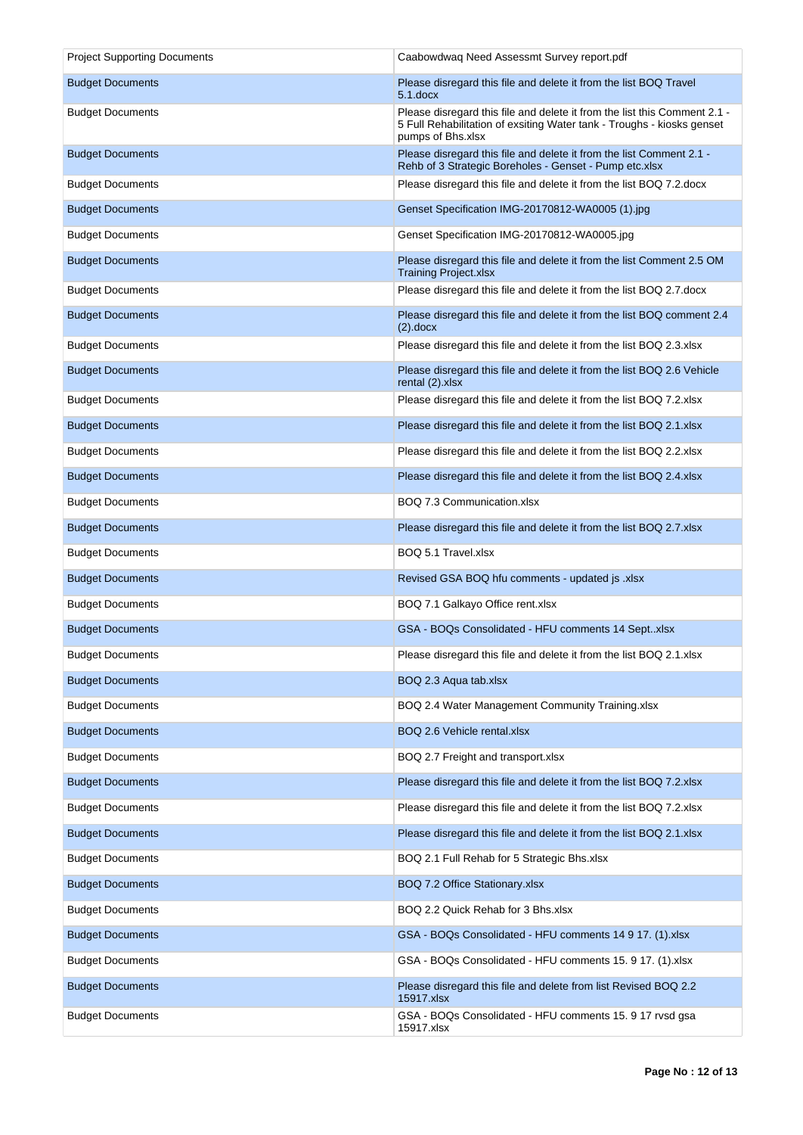| <b>Project Supporting Documents</b> | Caabowdwag Need Assessmt Survey report.pdf                                                                                                                               |
|-------------------------------------|--------------------------------------------------------------------------------------------------------------------------------------------------------------------------|
| <b>Budget Documents</b>             | Please disregard this file and delete it from the list BOQ Travel<br>$5.1$ .docx                                                                                         |
| <b>Budget Documents</b>             | Please disregard this file and delete it from the list this Comment 2.1 -<br>5 Full Rehabilitation of exsiting Water tank - Troughs - kiosks genset<br>pumps of Bhs.xlsx |
| <b>Budget Documents</b>             | Please disregard this file and delete it from the list Comment 2.1 -<br>Rehb of 3 Strategic Boreholes - Genset - Pump etc.xlsx                                           |
| <b>Budget Documents</b>             | Please disregard this file and delete it from the list BOQ 7.2.docx                                                                                                      |
| <b>Budget Documents</b>             | Genset Specification IMG-20170812-WA0005 (1).jpg                                                                                                                         |
| <b>Budget Documents</b>             | Genset Specification IMG-20170812-WA0005.jpg                                                                                                                             |
| <b>Budget Documents</b>             | Please disregard this file and delete it from the list Comment 2.5 OM<br><b>Training Project.xlsx</b>                                                                    |
| <b>Budget Documents</b>             | Please disregard this file and delete it from the list BOQ 2.7. docx                                                                                                     |
| <b>Budget Documents</b>             | Please disregard this file and delete it from the list BOQ comment 2.4<br>$(2).$ docx                                                                                    |
| <b>Budget Documents</b>             | Please disregard this file and delete it from the list BOQ 2.3.xlsx                                                                                                      |
| <b>Budget Documents</b>             | Please disregard this file and delete it from the list BOQ 2.6 Vehicle<br>rental (2).xlsx                                                                                |
| <b>Budget Documents</b>             | Please disregard this file and delete it from the list BOQ 7.2.xlsx                                                                                                      |
| <b>Budget Documents</b>             | Please disregard this file and delete it from the list BOQ 2.1.xlsx                                                                                                      |
| <b>Budget Documents</b>             | Please disregard this file and delete it from the list BOQ 2.2. xlsx                                                                                                     |
| <b>Budget Documents</b>             | Please disregard this file and delete it from the list BOQ 2.4.xlsx                                                                                                      |
| <b>Budget Documents</b>             | BOQ 7.3 Communication.xlsx                                                                                                                                               |
| <b>Budget Documents</b>             | Please disregard this file and delete it from the list BOQ 2.7.xlsx                                                                                                      |
| <b>Budget Documents</b>             | BOQ 5.1 Travel.xlsx                                                                                                                                                      |
| <b>Budget Documents</b>             | Revised GSA BOQ hfu comments - updated js .xlsx                                                                                                                          |
| <b>Budget Documents</b>             | BOQ 7.1 Galkayo Office rent.xlsx                                                                                                                                         |
| <b>Budget Documents</b>             | GSA - BOQs Consolidated - HFU comments 14 Septxlsx                                                                                                                       |
| <b>Budget Documents</b>             | Please disregard this file and delete it from the list BOQ 2.1.xlsx                                                                                                      |
| <b>Budget Documents</b>             | BOQ 2.3 Aqua tab.xlsx                                                                                                                                                    |
| <b>Budget Documents</b>             | BOQ 2.4 Water Management Community Training.xlsx                                                                                                                         |
| <b>Budget Documents</b>             | BOQ 2.6 Vehicle rental.xlsx                                                                                                                                              |
| <b>Budget Documents</b>             | BOQ 2.7 Freight and transport.xlsx                                                                                                                                       |
| <b>Budget Documents</b>             | Please disregard this file and delete it from the list BOQ 7.2.xlsx                                                                                                      |
| <b>Budget Documents</b>             | Please disregard this file and delete it from the list BOQ 7.2.xlsx                                                                                                      |
| <b>Budget Documents</b>             | Please disregard this file and delete it from the list BOQ 2.1.xlsx                                                                                                      |
| <b>Budget Documents</b>             | BOQ 2.1 Full Rehab for 5 Strategic Bhs.xlsx                                                                                                                              |
| <b>Budget Documents</b>             | BOQ 7.2 Office Stationary.xlsx                                                                                                                                           |
| <b>Budget Documents</b>             | BOQ 2.2 Quick Rehab for 3 Bhs.xlsx                                                                                                                                       |
| <b>Budget Documents</b>             | GSA - BOQs Consolidated - HFU comments 14 9 17. (1).xlsx                                                                                                                 |
| <b>Budget Documents</b>             | GSA - BOQs Consolidated - HFU comments 15. 9 17. (1).xlsx                                                                                                                |
| <b>Budget Documents</b>             | Please disregard this file and delete from list Revised BOQ 2.2<br>15917.xlsx                                                                                            |
| <b>Budget Documents</b>             | GSA - BOQs Consolidated - HFU comments 15. 9 17 rvsd gsa<br>15917.xlsx                                                                                                   |